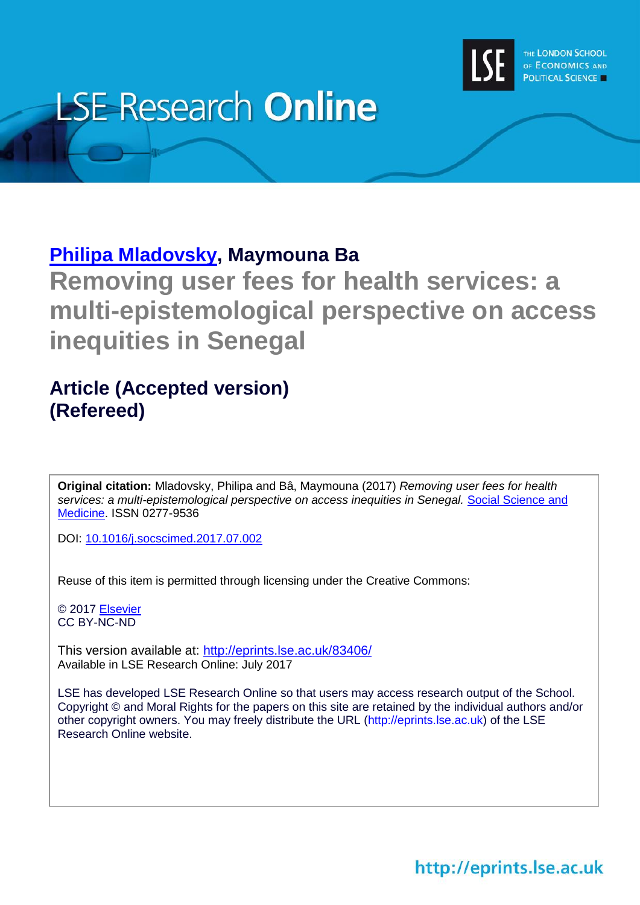

# **LSE Research Online**

# **[Philipa Mladovsky,](http://www.lse.ac.uk/researchAndExpertise/Experts/profile.aspx?KeyValue=p.mladovsky@lse.ac.uk) Maymouna Ba**

**Removing user fees for health services: a multi-epistemological perspective on access inequities in Senegal**

# **Article (Accepted version) (Refereed)**

**Original citation:** Mladovsky, Philipa and Bâ, Maymouna (2017) *Removing user fees for health*  services: a multi-epistemological perspective on access inequities in Senegal. Social Science and [Medicine.](https://www.journals.elsevier.com/social-science-and-medicine/) ISSN 0277-9536

DOI: [10.1016/j.socscimed.2017.07.002](http://dx.doi.org/10.1016/j.socscimed.2017.07.002)

Reuse of this item is permitted through licensing under the Creative Commons:

© 2017 [Elsevier](https://www.elsevier.com/) CC BY-NC-ND

This version available at: <http://eprints.lse.ac.uk/83406/> Available in LSE Research Online: July 2017

LSE has developed LSE Research Online so that users may access research output of the School. Copyright © and Moral Rights for the papers on this site are retained by the individual authors and/or other copyright owners. You may freely distribute the URL (http://eprints.lse.ac.uk) of the LSE Research Online website.

http://eprints.lse.ac.uk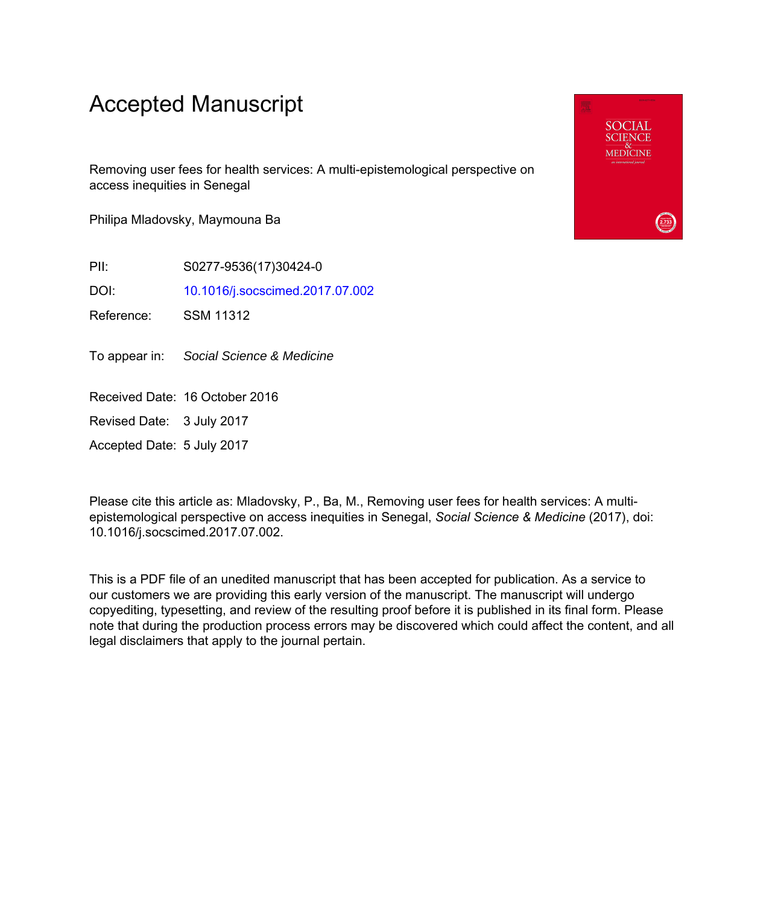# Accepted Manuscript

Removing user fees for health services: A multi-epistemological perspective on access inequities in Senegal

Philipa Mladovsky, Maymouna Ba

PII: S0277-9536(17)30424-0

DOI: [10.1016/j.socscimed.2017.07.002](http://dx.doi.org/10.1016/j.socscimed.2017.07.002)

Reference: SSM 11312

To appear in: Social Science & Medicine

Received Date: 16 October 2016

Revised Date: 3 July 2017

Accepted Date: 5 July 2017

Please cite this article as: Mladovsky, P., Ba, M., Removing user fees for health services: A multiepistemological perspective on access inequities in Senegal, *Social Science & Medicine* (2017), doi: 10.1016/j.socscimed.2017.07.002.

This is a PDF file of an unedited manuscript that has been accepted for publication. As a service to our customers we are providing this early version of the manuscript. The manuscript will undergo copyediting, typesetting, and review of the resulting proof before it is published in its final form. Please note that during the production process errors may be discovered which could affect the content, and all legal disclaimers that apply to the journal pertain.

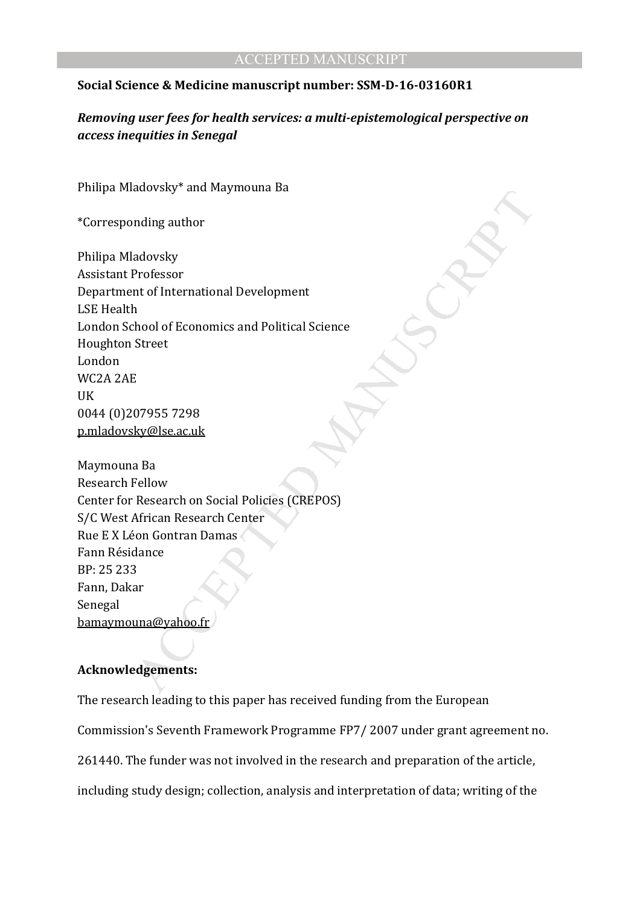## **Social Science & Medicine manuscript number: SSM-D-16-03160R1**

*Removing user fees for health services: a multi-epistemological perspective on access inequities in Senegal* 

Philipa Mladovsky\* and Maymouna Ba

\*Corresponding author

Manuscript<br>
median and Manuscript<br>
had a discussion<br>
the finite<br>
contractional Development<br>
Street<br>
Street<br>
Street<br>
Except<br>
Accept<br>
Manuscript<br>
Accept<br>
Accept<br>
African Research of Contain Damas<br>
African Research Center<br>
St Philipa Mladovsky Assistant Professor Department of International Development LSE Health London School of Economics and Political Science Houghton Street London WC2A 2AE UK 0044 (0)207955 7298 p.mladovsky@lse.ac.uk

Maymouna Ba Research Fellow Center for Research on Social Policies (CREPOS) S/C West African Research Center Rue E X Léon Gontran Damas Fann Résidance BP: 25 233 Fann, Dakar Senegal bamaymouna@yahoo.fr

## **Acknowledgements:**

The research leading to this paper has received funding from the European

Commission's Seventh Framework Programme FP7/ 2007 under grant agreement no.

261440. The funder was not involved in the research and preparation of the article,

including study design; collection, analysis and interpretation of data; writing of the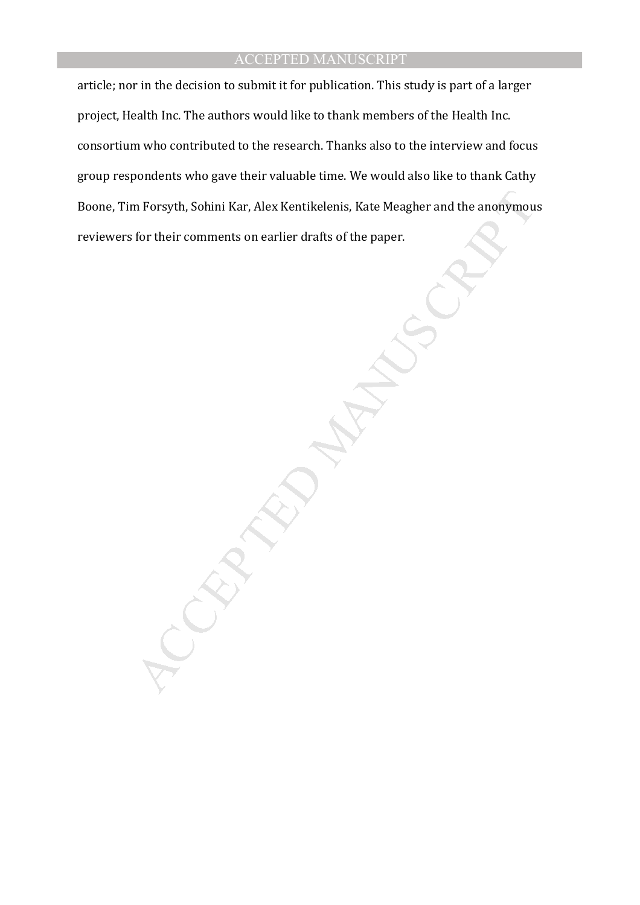article; nor in the decision to submit it for publication. This study is part of a larger project, Health Inc. The authors would like to thank members of the Health Inc. consortium who contributed to the research. Thanks also to the interview and focus group respondents who gave their valuable time. We would also like to thank Cathy Boone, Tim Forsyth, Sohini Kar, Alex Kentikelenis, Kate Meagher and the anonymous reviewers for their comments on earlier drafts of the paper.

n Forsyth, Sohini Kar, Alex Kentikelenis, Kate Meagher and the anonymout<br>for their comments on earlier drafts of the paper.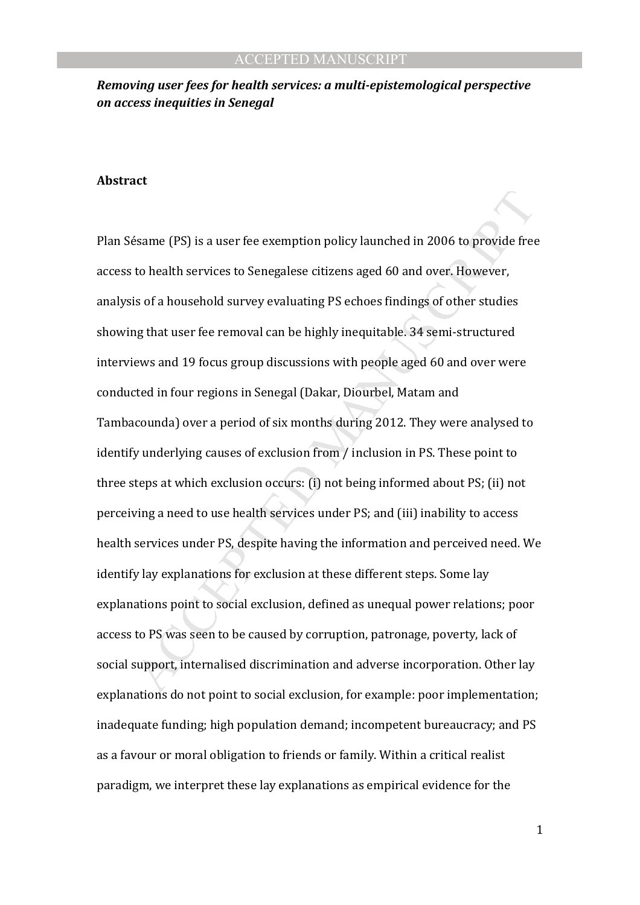## *Removing user fees for health services: a multi-epistemological perspective on access inequities in Senegal*

#### **Abstract**

Essame (PS) is a user fee exemption policy launched in 2006 to provide free<br>to health services to Senegalese citizens aged 60 and over. However,<br>is of a household survey evaluating PS echoes findings of other studies<br>ng t Plan Sésame (PS) is a user fee exemption policy launched in 2006 to provide free access to health services to Senegalese citizens aged 60 and over. However, analysis of a household survey evaluating PS echoes findings of other studies showing that user fee removal can be highly inequitable. 34 semi-structured interviews and 19 focus group discussions with people aged 60 and over were conducted in four regions in Senegal (Dakar, Diourbel, Matam and Tambacounda) over a period of six months during 2012. They were analysed to identify underlying causes of exclusion from / inclusion in PS. These point to three steps at which exclusion occurs: (i) not being informed about PS; (ii) not perceiving a need to use health services under PS; and (iii) inability to access health services under PS, despite having the information and perceived need. We identify lay explanations for exclusion at these different steps. Some lay explanations point to social exclusion, defined as unequal power relations; poor access to PS was seen to be caused by corruption, patronage, poverty, lack of social support, internalised discrimination and adverse incorporation. Other lay explanations do not point to social exclusion, for example: poor implementation; inadequate funding; high population demand; incompetent bureaucracy; and PS as a favour or moral obligation to friends or family. Within a critical realist paradigm, we interpret these lay explanations as empirical evidence for the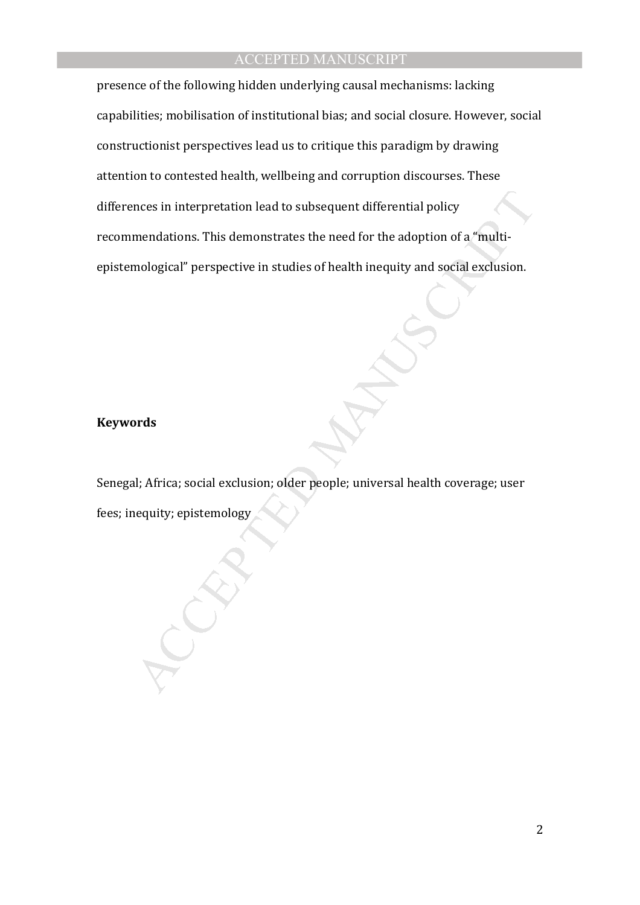nces in interpretation lead to subsequent differential policy<br>mendations. This demonstrates the need for the adoption of a "multi-<br>mological" perspective in studies of health inequity and social exclusion.<br><br>ards<br>ards<br>al; A presence of the following hidden underlying causal mechanisms: lacking capabilities; mobilisation of institutional bias; and social closure. However, social constructionist perspectives lead us to critique this paradigm by drawing attention to contested health, wellbeing and corruption discourses. These differences in interpretation lead to subsequent differential policy recommendations. This demonstrates the need for the adoption of a "multiepistemological" perspective in studies of health inequity and social exclusion.

#### **Keywords**

Senegal; Africa; social exclusion; older people; universal health coverage; user fees; inequity; epistemology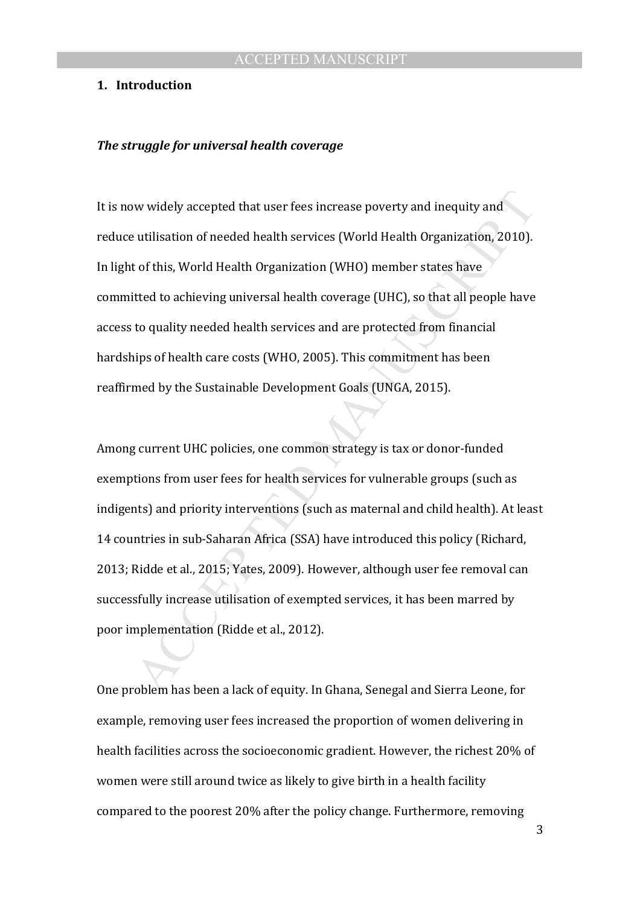#### **1. Introduction**

#### *The struggle for universal health coverage*

It is now widely accepted that user fees increase poverty and inequity and reduce utilisation of needed health services (World Health Organization, 2010). In light of this, World Health Organization (WHO) member states have committed to achieving universal health coverage (UHC), so that all people have access to quality needed health services and are protected from financial hardships of health care costs (WHO, 2005). This commitment has been reaffirmed by the Sustainable Development Goals (UNGA, 2015).

w widely accepted that user fees increase poverty and inequity and<br>a utilisation of needed health services (World Health Organization, 2010).<br>
to f this, World Health Organization (WHO) member states have<br>
tited to achievi Among current UHC policies, one common strategy is tax or donor-funded exemptions from user fees for health services for vulnerable groups (such as indigents) and priority interventions (such as maternal and child health). At least 14 countries in sub-Saharan Africa (SSA) have introduced this policy (Richard, 2013; Ridde et al., 2015; Yates, 2009). However, although user fee removal can successfully increase utilisation of exempted services, it has been marred by poor implementation (Ridde et al., 2012).

One problem has been a lack of equity. In Ghana, Senegal and Sierra Leone, for example, removing user fees increased the proportion of women delivering in health facilities across the socioeconomic gradient. However, the richest 20% of women were still around twice as likely to give birth in a health facility compared to the poorest 20% after the policy change. Furthermore, removing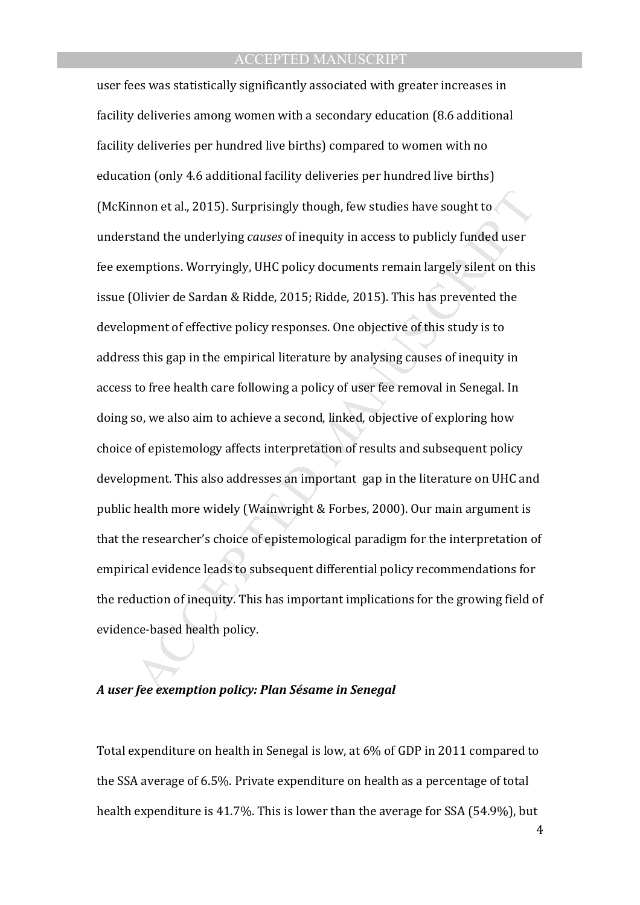nnon et al., 2015). Surprisingly though, few studies have sought to<br>stand the underlying *causes* of inequity in access to publicly funded user<br>stand the underlying *causes* of inequity in access to publicly funded user<br>mp user fees was statistically significantly associated with greater increases in facility deliveries among women with a secondary education (8.6 additional facility deliveries per hundred live births) compared to women with no education (only 4.6 additional facility deliveries per hundred live births) (McKinnon et al., 2015). Surprisingly though, few studies have sought to understand the underlying *causes* of inequity in access to publicly funded user fee exemptions. Worryingly, UHC policy documents remain largely silent on this issue (Olivier de Sardan & Ridde, 2015; Ridde, 2015). This has prevented the development of effective policy responses. One objective of this study is to address this gap in the empirical literature by analysing causes of inequity in access to free health care following a policy of user fee removal in Senegal. In doing so, we also aim to achieve a second, linked, objective of exploring how choice of epistemology affects interpretation of results and subsequent policy development. This also addresses an important gap in the literature on UHC and public health more widely (Wainwright & Forbes, 2000). Our main argument is that the researcher's choice of epistemological paradigm for the interpretation of empirical evidence leads to subsequent differential policy recommendations for the reduction of inequity. This has important implications for the growing field of evidence-based health policy.

## *A user fee exemption policy: Plan Sésame in Senegal*

Total expenditure on health in Senegal is low, at 6% of GDP in 2011 compared to the SSA average of 6.5%. Private expenditure on health as a percentage of total health expenditure is 41.7%. This is lower than the average for SSA (54.9%), but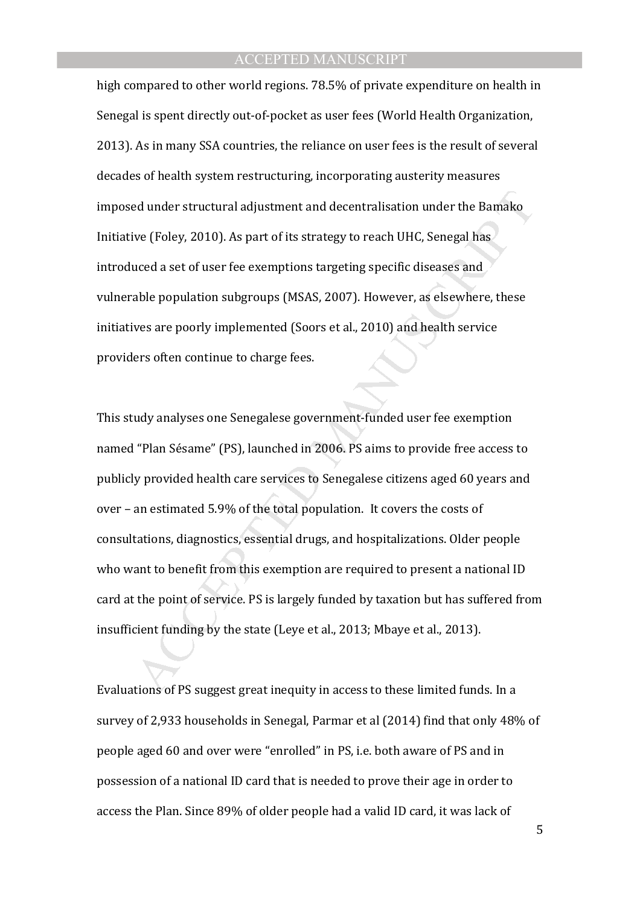high compared to other world regions. 78.5% of private expenditure on health in Senegal is spent directly out-of-pocket as user fees (World Health Organization, 2013). As in many SSA countries, the reliance on user fees is the result of several decades of health system restructuring, incorporating austerity measures imposed under structural adjustment and decentralisation under the Bamako Initiative (Foley, 2010). As part of its strategy to reach UHC, Senegal has introduced a set of user fee exemptions targeting specific diseases and vulnerable population subgroups (MSAS, 2007). However, as elsewhere, these initiatives are poorly implemented (Soors et al., 2010) and health service providers often continue to charge fees.

ed under structural adjustment and decentralisation under the Bamako<br>ive (Foley, 2010). As part of its strategy to reach UHC, Senegal has<br>uced a set of user fee exemptions targeting specific diseases and<br>able population su This study analyses one Senegalese government-funded user fee exemption named "Plan Sésame" (PS), launched in 2006. PS aims to provide free access to publicly provided health care services to Senegalese citizens aged 60 years and over – an estimated 5.9% of the total population. It covers the costs of consultations, diagnostics, essential drugs, and hospitalizations. Older people who want to benefit from this exemption are required to present a national ID card at the point of service. PS is largely funded by taxation but has suffered from insufficient funding by the state (Leye et al., 2013; Mbaye et al., 2013).

Evaluations of PS suggest great inequity in access to these limited funds. In a survey of 2,933 households in Senegal, Parmar et al (2014) find that only 48% of people aged 60 and over were "enrolled" in PS, i.e. both aware of PS and in possession of a national ID card that is needed to prove their age in order to access the Plan. Since 89% of older people had a valid ID card, it was lack of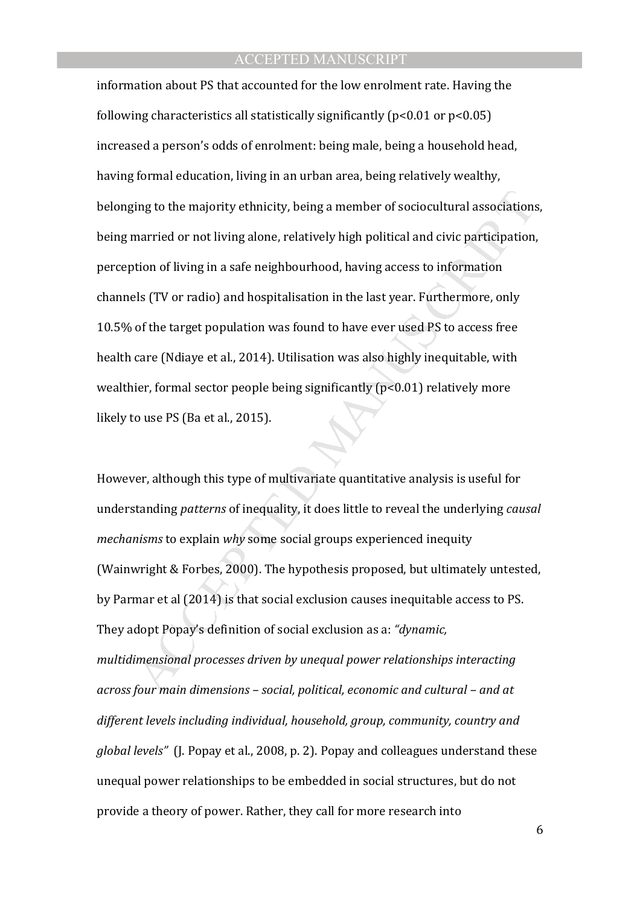ing to the majority ethnicity, being a member of sociocultural associations<br>married or not living alone, relatively high political and civic participation<br>married or not living alone, relatively high political and civic pa information about PS that accounted for the low enrolment rate. Having the following characteristics all statistically significantly ( $p$ <0.01 or  $p$ <0.05) increased a person's odds of enrolment: being male, being a household head, having formal education, living in an urban area, being relatively wealthy, belonging to the majority ethnicity, being a member of sociocultural associations, being married or not living alone, relatively high political and civic participation, perception of living in a safe neighbourhood, having access to information channels (TV or radio) and hospitalisation in the last year. Furthermore, only 10.5% of the target population was found to have ever used PS to access free health care (Ndiaye et al., 2014). Utilisation was also highly inequitable, with wealthier, formal sector people being significantly (p<0.01) relatively more likely to use PS (Ba et al., 2015).

However, although this type of multivariate quantitative analysis is useful for understanding *patterns* of inequality, it does little to reveal the underlying *causal mechanisms* to explain *why* some social groups experienced inequity (Wainwright & Forbes, 2000). The hypothesis proposed, but ultimately untested, by Parmar et al (2014) is that social exclusion causes inequitable access to PS. They adopt Popay's definition of social exclusion as a: *"dynamic, multidimensional processes driven by unequal power relationships interacting across four main dimensions – social, political, economic and cultural – and at different levels including individual, household, group, community, country and global levels"* (J. Popay et al., 2008, p. 2). Popay and colleagues understand these unequal power relationships to be embedded in social structures, but do not provide a theory of power. Rather, they call for more research into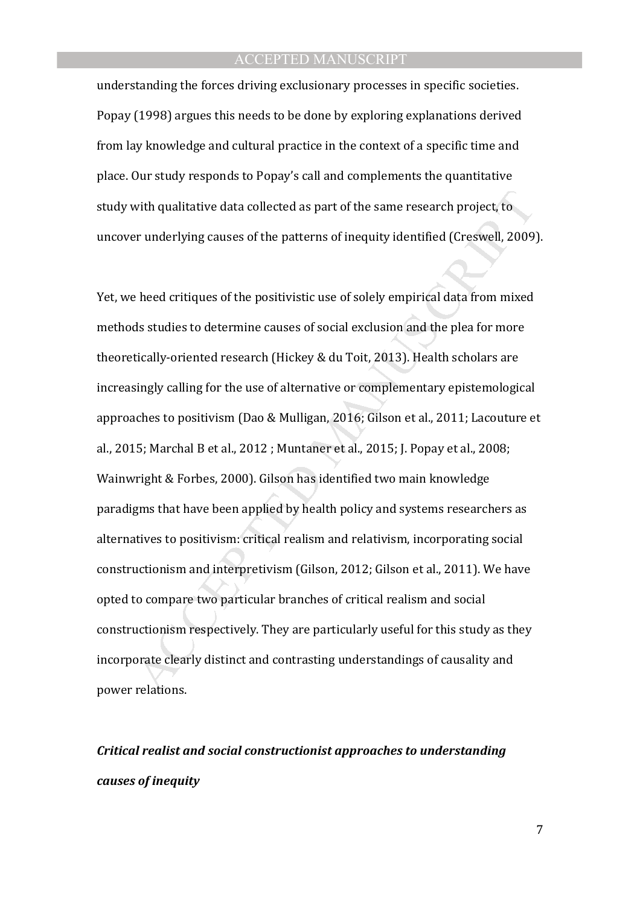understanding the forces driving exclusionary processes in specific societies. Popay (1998) argues this needs to be done by exploring explanations derived from lay knowledge and cultural practice in the context of a specific time and place. Our study responds to Popay's call and complements the quantitative study with qualitative data collected as part of the same research project, to uncover underlying causes of the patterns of inequity identified (Creswell, 2009).

with qualitative data collected as part of the same research project, to<br>er underlying causes of the patterns of inequity identified (Creswell, 2009)<br>Pheed critiques of the positivistic use of solely empirical data from mi Yet, we heed critiques of the positivistic use of solely empirical data from mixed methods studies to determine causes of social exclusion and the plea for more theoretically-oriented research (Hickey & du Toit, 2013). Health scholars are increasingly calling for the use of alternative or complementary epistemological approaches to positivism (Dao & Mulligan, 2016; Gilson et al., 2011; Lacouture et al., 2015; Marchal B et al., 2012 ; Muntaner et al., 2015; J. Popay et al., 2008; Wainwright & Forbes, 2000). Gilson has identified two main knowledge paradigms that have been applied by health policy and systems researchers as alternatives to positivism: critical realism and relativism, incorporating social constructionism and interpretivism (Gilson, 2012; Gilson et al., 2011). We have opted to compare two particular branches of critical realism and social constructionism respectively. They are particularly useful for this study as they incorporate clearly distinct and contrasting understandings of causality and power relations.

# *Critical realist and social constructionist approaches to understanding causes of inequity*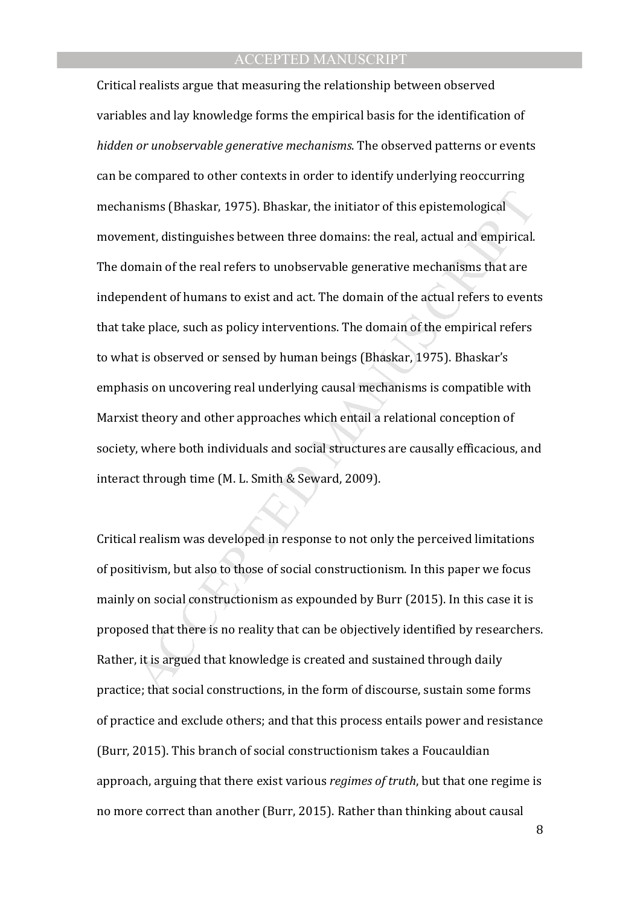nisms (Bhaskar, 1975). Bhaskar, the initiator of this epistemological<br>nent, distinguishes between three domains: the real, actual and empirical.<br>main of the real refers to unobservable generative mechanisms that are<br>nented Critical realists argue that measuring the relationship between observed variables and lay knowledge forms the empirical basis for the identification of *hidden or unobservable generative mechanisms*. The observed patterns or events can be compared to other contexts in order to identify underlying reoccurring mechanisms (Bhaskar, 1975). Bhaskar, the initiator of this epistemological movement, distinguishes between three domains: the real, actual and empirical. The domain of the real refers to unobservable generative mechanisms that are independent of humans to exist and act. The domain of the actual refers to events that take place, such as policy interventions. The domain of the empirical refers to what is observed or sensed by human beings (Bhaskar, 1975). Bhaskar's emphasis on uncovering real underlying causal mechanisms is compatible with Marxist theory and other approaches which entail a relational conception of society, where both individuals and social structures are causally efficacious, and interact through time (M. L. Smith & Seward, 2009).

Critical realism was developed in response to not only the perceived limitations of positivism, but also to those of social constructionism. In this paper we focus mainly on social constructionism as expounded by Burr (2015). In this case it is proposed that there is no reality that can be objectively identified by researchers. Rather, it is argued that knowledge is created and sustained through daily practice; that social constructions, in the form of discourse, sustain some forms of practice and exclude others; and that this process entails power and resistance (Burr, 2015). This branch of social constructionism takes a Foucauldian approach, arguing that there exist various *regimes of truth*, but that one regime is no more correct than another (Burr, 2015). Rather than thinking about causal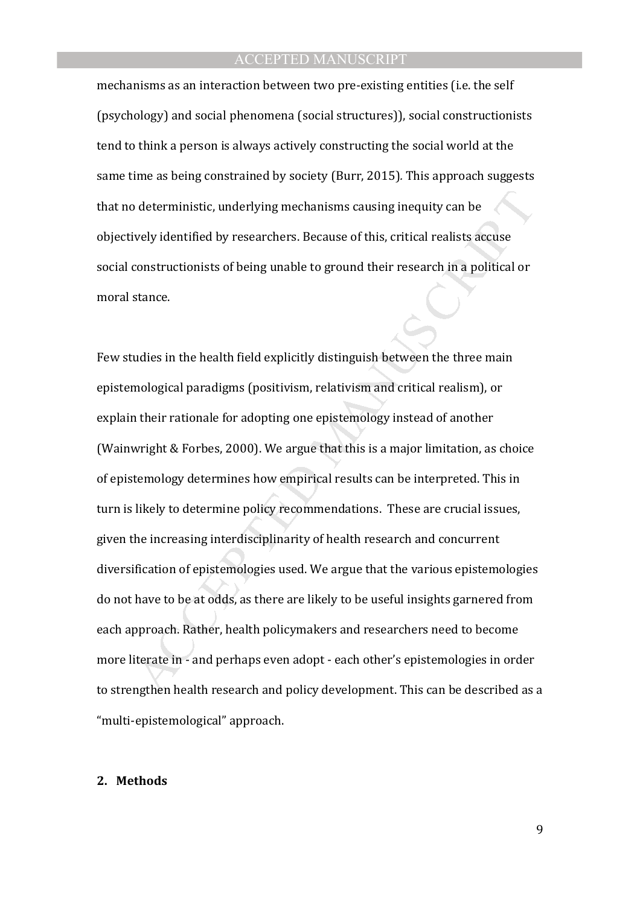mechanisms as an interaction between two pre-existing entities (i.e. the self (psychology) and social phenomena (social structures)), social constructionists tend to think a person is always actively constructing the social world at the same time as being constrained by society (Burr, 2015)*.* This approach suggests that no deterministic, underlying mechanisms causing inequity can be objectively identified by researchers. Because of this, critical realists accuse social constructionists of being unable to ground their research in a political or moral stance.

o deterministic, underlying mechanisms causing inequity can be<br>vely identified by researchers. Because of this, critical realists accuse<br>constructionists of being unable to ground their research in a political or<br>stance.<br>M Few studies in the health field explicitly distinguish between the three main epistemological paradigms (positivism, relativism and critical realism), or explain their rationale for adopting one epistemology instead of another (Wainwright & Forbes, 2000). We argue that this is a major limitation, as choice of epistemology determines how empirical results can be interpreted. This in turn is likely to determine policy recommendations. These are crucial issues, given the increasing interdisciplinarity of health research and concurrent diversification of epistemologies used. We argue that the various epistemologies do not have to be at odds, as there are likely to be useful insights garnered from each approach. Rather, health policymakers and researchers need to become more literate in - and perhaps even adopt - each other's epistemologies in order to strengthen health research and policy development. This can be described as a "multi-epistemological" approach.

#### **2. Methods**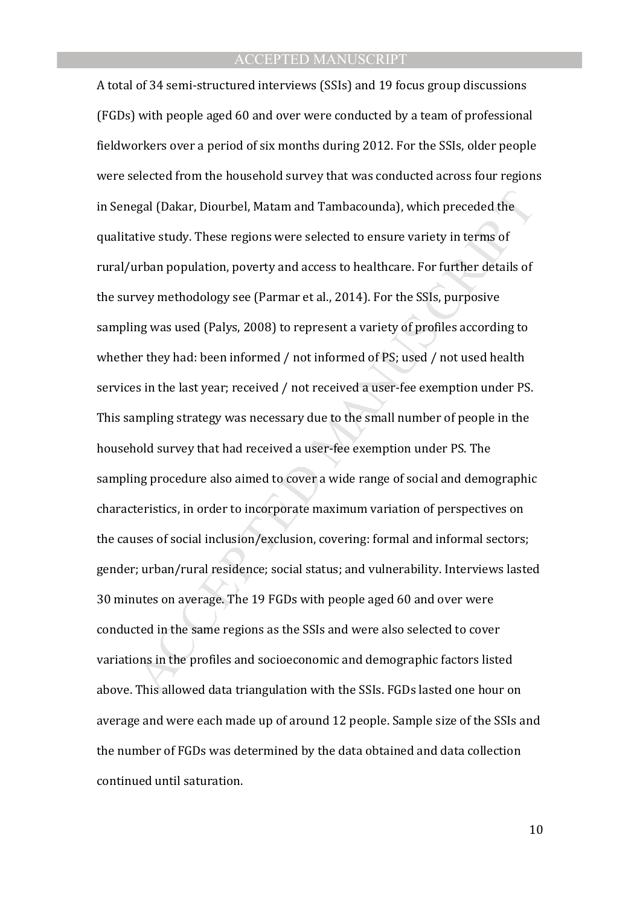egal (Dakar, Diourbel, Matam and Tambacounda), which preceded the<br>titve study. These regions were selected to ensure variety in terms of<br>turban population, poverty and access to healthcare. For further details of<br>revy meth A total of 34 semi-structured interviews (SSIs) and 19 focus group discussions (FGDs) with people aged 60 and over were conducted by a team of professional fieldworkers over a period of six months during 2012. For the SSIs, older people were selected from the household survey that was conducted across four regions in Senegal (Dakar, Diourbel, Matam and Tambacounda), which preceded the qualitative study. These regions were selected to ensure variety in terms of rural/urban population, poverty and access to healthcare. For further details of the survey methodology see (Parmar et al., 2014). For the SSIs, purposive sampling was used (Palys, 2008) to represent a variety of profiles according to whether they had: been informed / not informed of PS; used / not used health services in the last year; received / not received a user-fee exemption under PS. This sampling strategy was necessary due to the small number of people in the household survey that had received a user-fee exemption under PS. The sampling procedure also aimed to cover a wide range of social and demographic characteristics, in order to incorporate maximum variation of perspectives on the causes of social inclusion/exclusion, covering: formal and informal sectors; gender; urban/rural residence; social status; and vulnerability. Interviews lasted 30 minutes on average. The 19 FGDs with people aged 60 and over were conducted in the same regions as the SSIs and were also selected to cover variations in the profiles and socioeconomic and demographic factors listed above. This allowed data triangulation with the SSIs. FGDs lasted one hour on average and were each made up of around 12 people. Sample size of the SSIs and the number of FGDs was determined by the data obtained and data collection continued until saturation.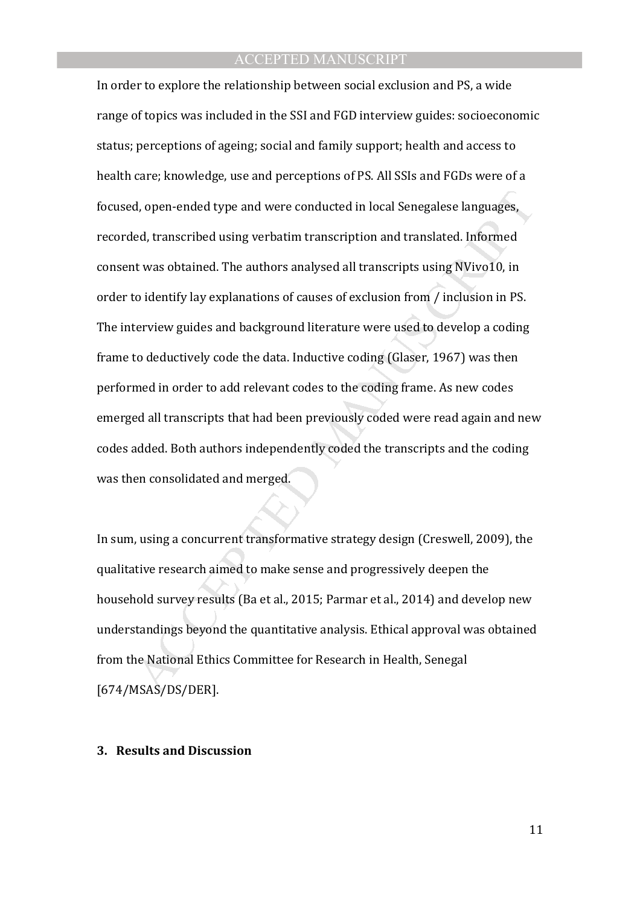d, open-ended type and were conducted in local Senegalese languages,<br>ed, transcribed using verbatim transcription and translated. Informed<br>t was obtained. The authors analysed all transcripts using NVivo10, in<br>to identify In order to explore the relationship between social exclusion and PS, a wide range of topics was included in the SSI and FGD interview guides: socioeconomic status; perceptions of ageing; social and family support; health and access to health care; knowledge, use and perceptions of PS. All SSIs and FGDs were of a focused, open-ended type and were conducted in local Senegalese languages, recorded, transcribed using verbatim transcription and translated. Informed consent was obtained. The authors analysed all transcripts using NVivo10, in order to identify lay explanations of causes of exclusion from / inclusion in PS. The interview guides and background literature were used to develop a coding frame to deductively code the data. Inductive coding (Glaser, 1967) was then performed in order to add relevant codes to the coding frame. As new codes emerged all transcripts that had been previously coded were read again and new codes added. Both authors independently coded the transcripts and the coding was then consolidated and merged.

In sum, using a concurrent transformative strategy design (Creswell, 2009), the qualitative research aimed to make sense and progressively deepen the household survey results (Ba et al., 2015; Parmar et al., 2014) and develop new understandings beyond the quantitative analysis. Ethical approval was obtained from the National Ethics Committee for Research in Health, Senegal [674/MSAS/DS/DER].

#### **3. Results and Discussion**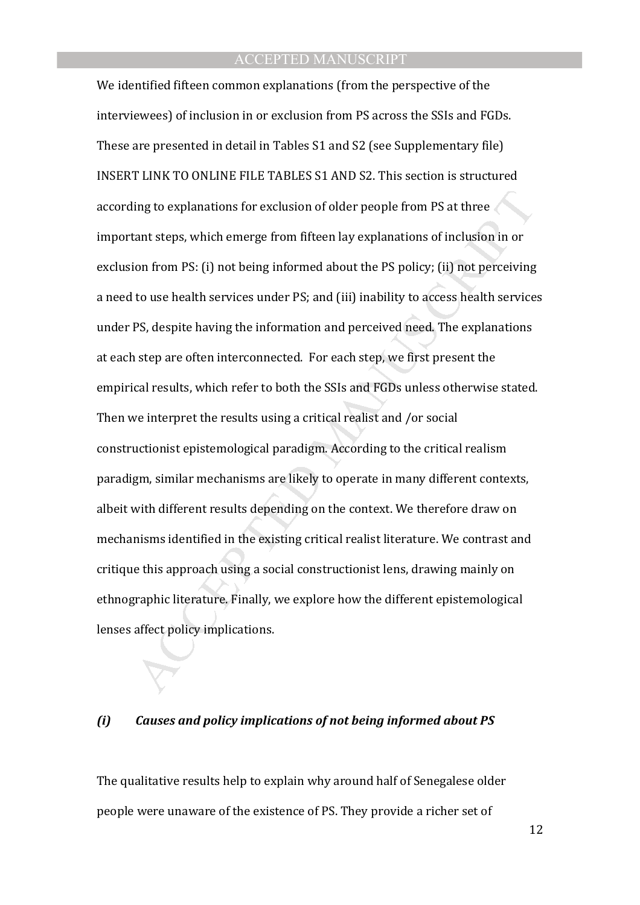ing to explanations for exclusion of older people from PS at three<br>tant steps, which emerge from fifteen lay explanations of inclusion in or<br>ton from PS: (i) not being informed about the PS policy; (ii) not perceiving<br>to u We identified fifteen common explanations (from the perspective of the interviewees) of inclusion in or exclusion from PS across the SSIs and FGDs. These are presented in detail in Tables S1 and S2 (see Supplementary file) INSERT LINK TO ONLINE FILE TABLES S1 AND S2. This section is structured according to explanations for exclusion of older people from PS at three important steps, which emerge from fifteen lay explanations of inclusion in or exclusion from PS: (i) not being informed about the PS policy; (ii) not perceiving a need to use health services under PS; and (iii) inability to access health services under PS, despite having the information and perceived need. The explanations at each step are often interconnected. For each step, we first present the empirical results, which refer to both the SSIs and FGDs unless otherwise stated. Then we interpret the results using a critical realist and /or social constructionist epistemological paradigm. According to the critical realism paradigm, similar mechanisms are likely to operate in many different contexts, albeit with different results depending on the context. We therefore draw on mechanisms identified in the existing critical realist literature. We contrast and critique this approach using a social constructionist lens, drawing mainly on ethnographic literature. Finally, we explore how the different epistemological lenses affect policy implications.

#### *(i) Causes and policy implications of not being informed about PS*

The qualitative results help to explain why around half of Senegalese older people were unaware of the existence of PS. They provide a richer set of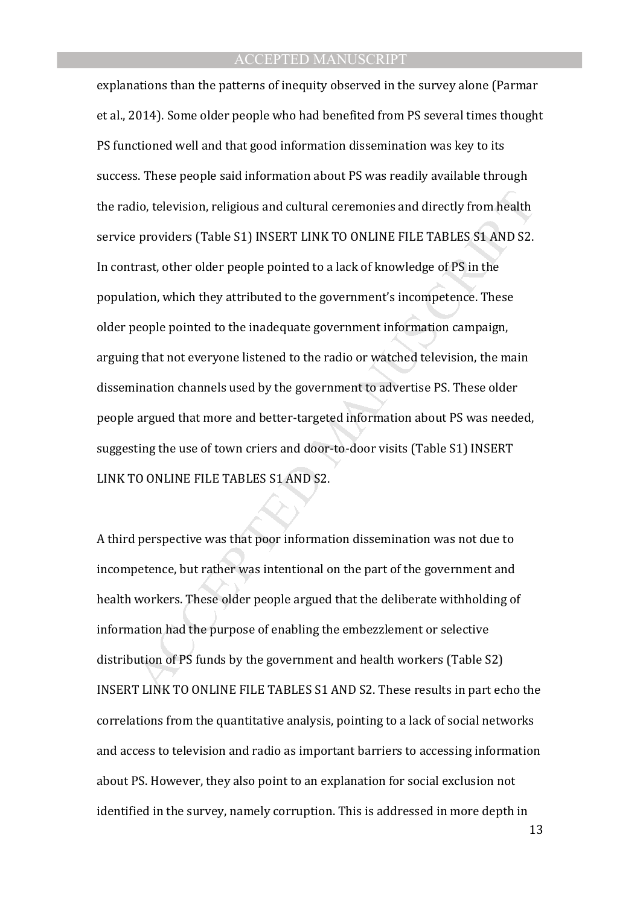dio, television, religious and cultural ceremonies and directly from health<br>
peroviders (Table S1) INSERT LINK TO ONLINE FILE TABLES S1 AND S2.<br>
trast, other older people pointed to a lack of knowledge of PS in the<br>
tion, explanations than the patterns of inequity observed in the survey alone (Parmar et al., 2014). Some older people who had benefited from PS several times thought PS functioned well and that good information dissemination was key to its success. These people said information about PS was readily available through the radio, television, religious and cultural ceremonies and directly from health service providers (Table S1) INSERT LINK TO ONLINE FILE TABLES S1 AND S2. In contrast, other older people pointed to a lack of knowledge of PS in the population, which they attributed to the government's incompetence. These older people pointed to the inadequate government information campaign, arguing that not everyone listened to the radio or watched television, the main dissemination channels used by the government to advertise PS. These older people argued that more and better-targeted information about PS was needed, suggesting the use of town criers and door-to-door visits (Table S1) INSERT LINK TO ONLINE FILE TABLES S1 AND S2.

A third perspective was that poor information dissemination was not due to incompetence, but rather was intentional on the part of the government and health workers. These older people argued that the deliberate withholding of information had the purpose of enabling the embezzlement or selective distribution of PS funds by the government and health workers (Table S2) INSERT LINK TO ONLINE FILE TABLES S1 AND S2. These results in part echo the correlations from the quantitative analysis, pointing to a lack of social networks and access to television and radio as important barriers to accessing information about PS. However, they also point to an explanation for social exclusion not identified in the survey, namely corruption. This is addressed in more depth in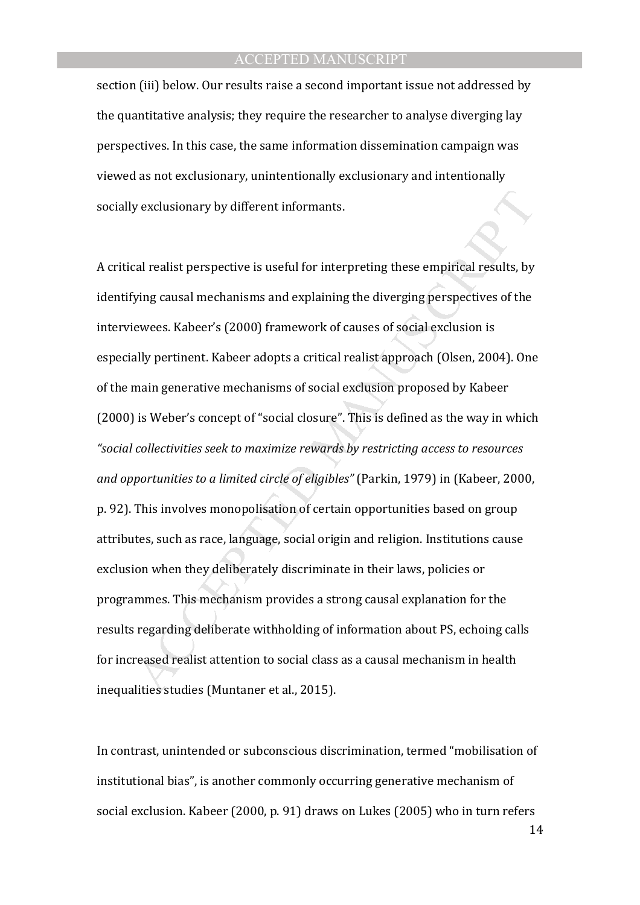section (iii) below. Our results raise a second important issue not addressed by the quantitative analysis; they require the researcher to analyse diverging lay perspectives. In this case, the same information dissemination campaign was viewed as not exclusionary, unintentionally exclusionary and intentionally socially exclusionary by different informants.

by exclusionary by different informants.<br>
Eal realist perspective is useful for interpreting these empirical results, by<br>
bying causal mechanisms and explaining the diverging perspectives of the<br>
ewees. Kabeer's (2000) fra A critical realist perspective is useful for interpreting these empirical results, by identifying causal mechanisms and explaining the diverging perspectives of the interviewees. Kabeer's (2000) framework of causes of social exclusion is especially pertinent. Kabeer adopts a critical realist approach (Olsen, 2004). One of the main generative mechanisms of social exclusion proposed by Kabeer (2000) is Weber's concept of "social closure". This is defined as the way in which *"social collectivities seek to maximize rewards by restricting access to resources and opportunities to a limited circle of eligibles"* (Parkin, 1979) in (Kabeer, 2000, p. 92). This involves monopolisation of certain opportunities based on group attributes, such as race, language, social origin and religion. Institutions cause exclusion when they deliberately discriminate in their laws, policies or programmes. This mechanism provides a strong causal explanation for the results regarding deliberate withholding of information about PS, echoing calls for increased realist attention to social class as a causal mechanism in health inequalities studies (Muntaner et al., 2015).

In contrast, unintended or subconscious discrimination, termed "mobilisation of institutional bias", is another commonly occurring generative mechanism of social exclusion. Kabeer (2000, p. 91) draws on Lukes (2005) who in turn refers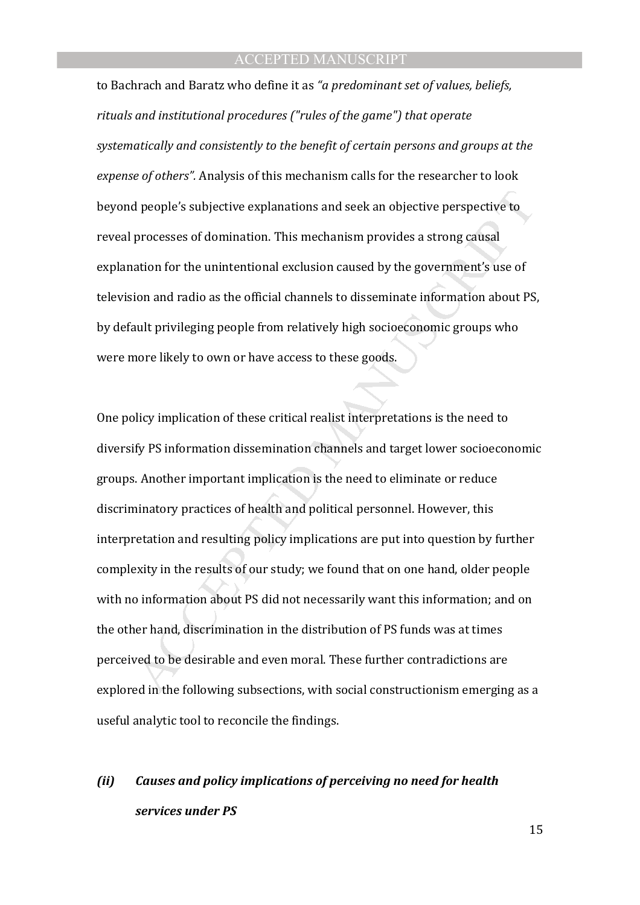to Bachrach and Baratz who define it as *"a predominant set of values, beliefs, rituals and institutional procedures ("rules of the game") that operate systematically and consistently to the benefit of certain persons and groups at the expense of others".* Analysis of this mechanism calls for the researcher to look beyond people's subjective explanations and seek an objective perspective to reveal processes of domination. This mechanism provides a strong causal explanation for the unintentional exclusion caused by the government's use of television and radio as the official channels to disseminate information about PS, by default privileging people from relatively high socioeconomic groups who were more likely to own or have access to these goods.

d people's subjective explanations and seek an objective perspective to<br>processes of domination. This mechanism provides a strong causal<br>ation for the unintentional exclusion caused by the government's use of<br>ion and radio One policy implication of these critical realist interpretations is the need to diversify PS information dissemination channels and target lower socioeconomic groups. Another important implication is the need to eliminate or reduce discriminatory practices of health and political personnel. However, this interpretation and resulting policy implications are put into question by further complexity in the results of our study; we found that on one hand, older people with no information about PS did not necessarily want this information; and on the other hand, discrimination in the distribution of PS funds was at times perceived to be desirable and even moral. These further contradictions are explored in the following subsections, with social constructionism emerging as a useful analytic tool to reconcile the findings.

# *(ii) Causes and policy implications of perceiving no need for health services under PS*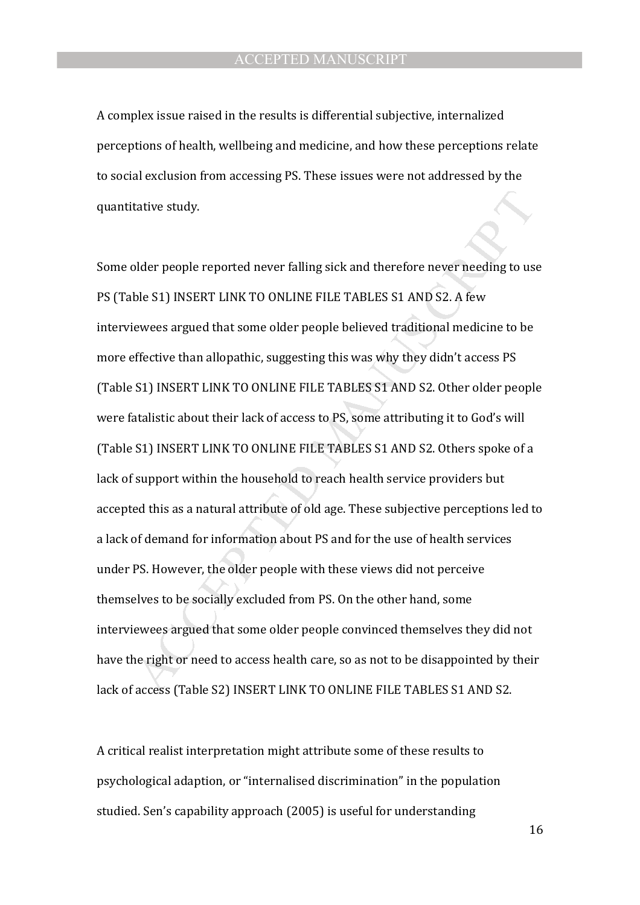A complex issue raised in the results is differential subjective, internalized perceptions of health, wellbeing and medicine, and how these perceptions relate to social exclusion from accessing PS. These issues were not addressed by the quantitative study.

tative study.<br>
blder people reported never falling sick and therefore never needing to us<br>
ble S1) INSERT LINK TO ONLINE FILE TABLES S1 AND S2. A few<br>
ewees argued that some older people believed traditional medicine to be Some older people reported never falling sick and therefore never needing to use PS (Table S1) INSERT LINK TO ONLINE FILE TABLES S1 AND S2. A few interviewees argued that some older people believed traditional medicine to be more effective than allopathic, suggesting this was why they didn't access PS (Table S1) INSERT LINK TO ONLINE FILE TABLES S1 AND S2. Other older people were fatalistic about their lack of access to PS, some attributing it to God's will (Table S1) INSERT LINK TO ONLINE FILE TABLES S1 AND S2. Others spoke of a lack of support within the household to reach health service providers but accepted this as a natural attribute of old age. These subjective perceptions led to a lack of demand for information about PS and for the use of health services under PS. However, the older people with these views did not perceive themselves to be socially excluded from PS. On the other hand, some interviewees argued that some older people convinced themselves they did not have the right or need to access health care, so as not to be disappointed by their lack of access (Table S2) INSERT LINK TO ONLINE FILE TABLES S1 AND S2.

A critical realist interpretation might attribute some of these results to psychological adaption, or "internalised discrimination" in the population studied. Sen's capability approach (2005) is useful for understanding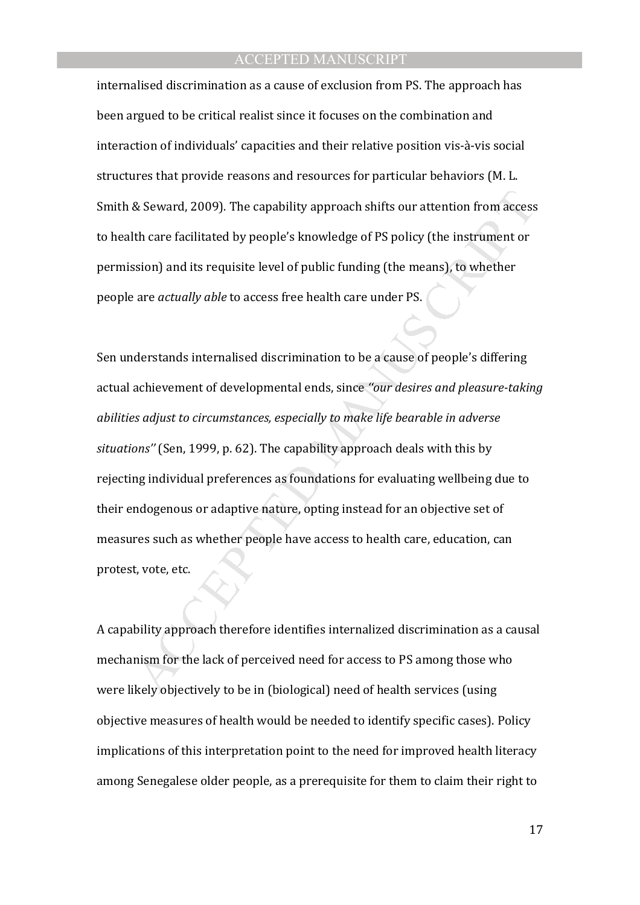internalised discrimination as a cause of exclusion from PS. The approach has been argued to be critical realist since it focuses on the combination and interaction of individuals' capacities and their relative position vis-à-vis social structures that provide reasons and resources for particular behaviors (M. L. Smith & Seward, 2009)*.* The capability approach shifts our attention from access to health care facilitated by people's knowledge of PS policy (the instrument or permission) and its requisite level of public funding (the means), to whether people are *actually able* to access free health care under PS.

& Seward, 2009). The capability approach shifts our attention from access<br>th care facilitated by people's knowledge of PS policy (the instrument or<br>sion) and its requisite level of public funding (the means), to whether<br>ar Sen understands internalised discrimination to be a cause of people's differing actual achievement of developmental ends, since *''our desires and pleasure-taking abilities adjust to circumstances, especially to make life bearable in adverse situations''* (Sen, 1999, p. 62). The capability approach deals with this by rejecting individual preferences as foundations for evaluating wellbeing due to their endogenous or adaptive nature, opting instead for an objective set of measures such as whether people have access to health care, education, can protest, vote, etc.

A capability approach therefore identifies internalized discrimination as a causal mechanism for the lack of perceived need for access to PS among those who were likely objectively to be in (biological) need of health services (using objective measures of health would be needed to identify specific cases). Policy implications of this interpretation point to the need for improved health literacy among Senegalese older people, as a prerequisite for them to claim their right to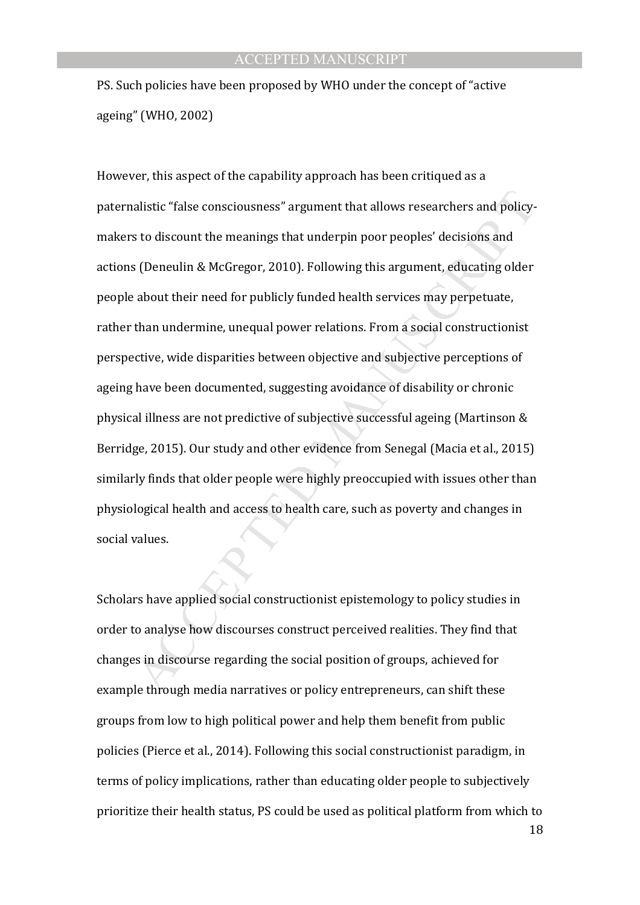PS. Such policies have been proposed by WHO under the concept of "active ageing" (WHO, 2002)

alistic "false consciousness" argument that allows researchers and policys<br>s to discount the meanings that underpin poor peoples' decisions and<br>(Deneulin & McGregor, 2010). Following this argument, educating older<br>about th However, this aspect of the capability approach has been critiqued as a paternalistic "false consciousness" argument that allows researchers and policymakers to discount the meanings that underpin poor peoples' decisions and actions (Deneulin & McGregor, 2010). Following this argument, educating older people about their need for publicly funded health services may perpetuate, rather than undermine, unequal power relations. From a social constructionist perspective, wide disparities between objective and subjective perceptions of ageing have been documented, suggesting avoidance of disability or chronic physical illness are not predictive of subjective successful ageing (Martinson & Berridge, 2015). Our study and other evidence from Senegal (Macia et al., 2015) similarly finds that older people were highly preoccupied with issues other than physiological health and access to health care, such as poverty and changes in social values.

Scholars have applied social constructionist epistemology to policy studies in order to analyse how discourses construct perceived realities. They find that changes in discourse regarding the social position of groups, achieved for example through media narratives or policy entrepreneurs, can shift these groups from low to high political power and help them benefit from public policies (Pierce et al., 2014). Following this social constructionist paradigm, in terms of policy implications, rather than educating older people to subjectively prioritize their health status, PS could be used as political platform from which to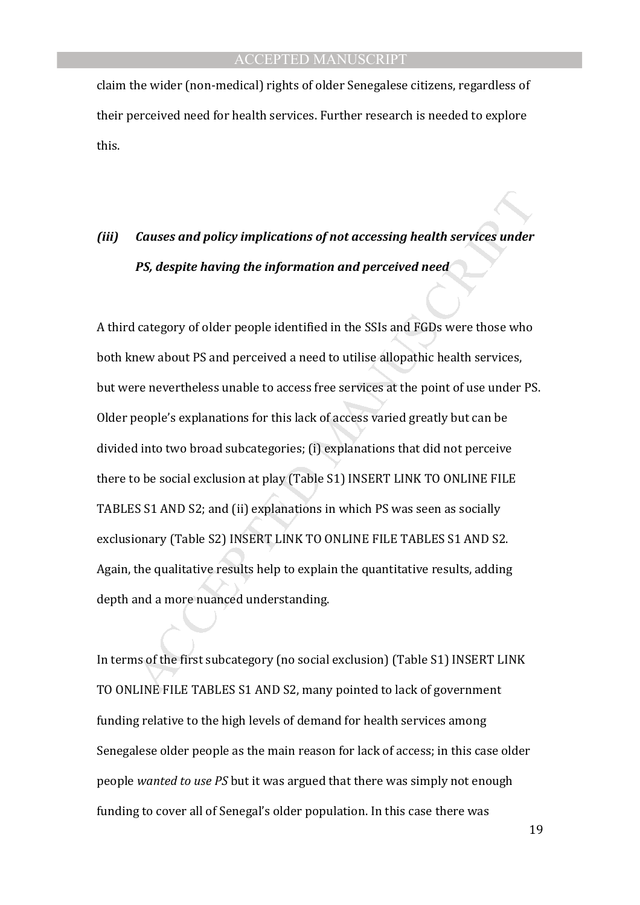claim the wider (non-medical) rights of older Senegalese citizens, regardless of their perceived need for health services. Further research is needed to explore this.

# *(iii) Causes and policy implications of not accessing health services under PS, despite having the information and perceived need*

Causes and policy implications of not accessing health services under<br>
PS, despite having the information and perceived need<br>
1 category of older people identified in the SSIs and FGDs were those who<br>
new about PS and perc A third category of older people identified in the SSIs and FGDs were those who both knew about PS and perceived a need to utilise allopathic health services, but were nevertheless unable to access free services at the point of use under PS. Older people's explanations for this lack of access varied greatly but can be divided into two broad subcategories; (i) explanations that did not perceive there to be social exclusion at play (Table S1) INSERT LINK TO ONLINE FILE TABLES S1 AND S2; and (ii) explanations in which PS was seen as socially exclusionary (Table S2) INSERT LINK TO ONLINE FILE TABLES S1 AND S2. Again, the qualitative results help to explain the quantitative results, adding depth and a more nuanced understanding.

In terms of the first subcategory (no social exclusion) (Table S1) INSERT LINK TO ONLINE FILE TABLES S1 AND S2, many pointed to lack of government funding relative to the high levels of demand for health services among Senegalese older people as the main reason for lack of access; in this case older people *wanted to use PS* but it was argued that there was simply not enough funding to cover all of Senegal's older population. In this case there was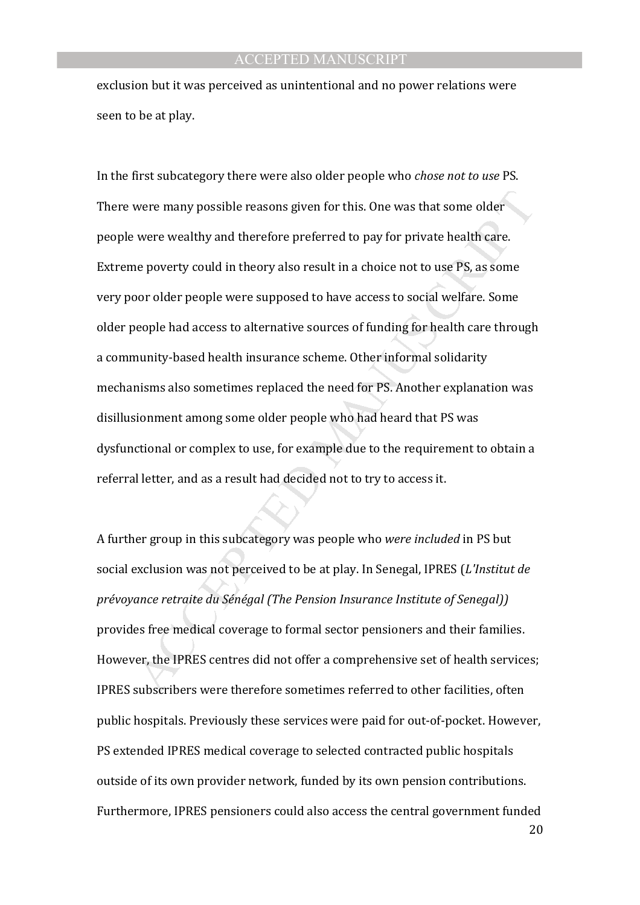exclusion but it was perceived as unintentional and no power relations were seen to be at play.

were many possible reasons given for this. One was that some older<br>vere wealthy and therefore preferred to pay for private health care.<br>e poverty could in theory also result in a choice not to use PS, as some<br>oor older peo In the first subcategory there were also older people who *chose not to use* PS. There were many possible reasons given for this. One was that some older people were wealthy and therefore preferred to pay for private health care. Extreme poverty could in theory also result in a choice not to use PS, as some very poor older people were supposed to have access to social welfare. Some older people had access to alternative sources of funding for health care through a community-based health insurance scheme. Other informal solidarity mechanisms also sometimes replaced the need for PS. Another explanation was disillusionment among some older people who had heard that PS was dysfunctional or complex to use, for example due to the requirement to obtain a referral letter, and as a result had decided not to try to access it.

A further group in this subcategory was people who *were included* in PS but social exclusion was not perceived to be at play. In Senegal, IPRES (*L'Institut de prévoyance retraite du Sénégal (The Pension Insurance Institute of Senegal))* provides free medical coverage to formal sector pensioners and their families. However, the IPRES centres did not offer a comprehensive set of health services; IPRES subscribers were therefore sometimes referred to other facilities, often public hospitals. Previously these services were paid for out-of-pocket. However, PS extended IPRES medical coverage to selected contracted public hospitals outside of its own provider network, funded by its own pension contributions. Furthermore, IPRES pensioners could also access the central government funded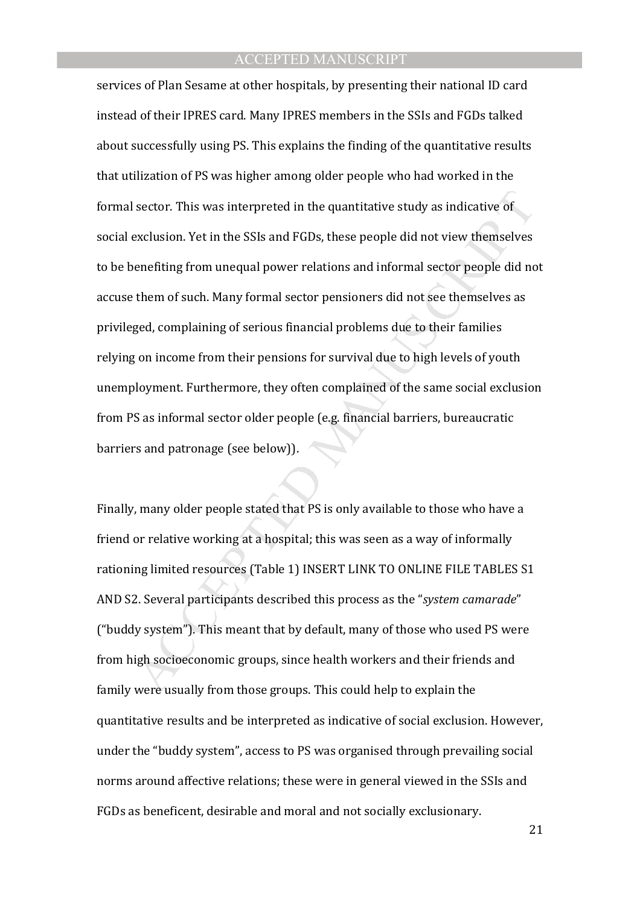sector. This was interpreted in the quantitative study as indicative of<br>exclusion. Yet in the SSIs and FGDs, these people did not view themselves<br>enerfiting from unequal power relations and informal sector people did no<br>th services of Plan Sesame at other hospitals, by presenting their national ID card instead of their IPRES card. Many IPRES members in the SSIs and FGDs talked about successfully using PS. This explains the finding of the quantitative results that utilization of PS was higher among older people who had worked in the formal sector. This was interpreted in the quantitative study as indicative of social exclusion. Yet in the SSIs and FGDs, these people did not view themselves to be benefiting from unequal power relations and informal sector people did not accuse them of such. Many formal sector pensioners did not see themselves as privileged, complaining of serious financial problems due to their families relying on income from their pensions for survival due to high levels of youth unemployment. Furthermore, they often complained of the same social exclusion from PS as informal sector older people (e.g. financial barriers, bureaucratic barriers and patronage (see below)).

Finally, many older people stated that PS is only available to those who have a friend or relative working at a hospital; this was seen as a way of informally rationing limited resources (Table 1) INSERT LINK TO ONLINE FILE TABLES S1 AND S2. Several participants described this process as the "*system camarade*" ("buddy system"). This meant that by default, many of those who used PS were from high socioeconomic groups, since health workers and their friends and family were usually from those groups. This could help to explain the quantitative results and be interpreted as indicative of social exclusion. However, under the "buddy system", access to PS was organised through prevailing social norms around affective relations; these were in general viewed in the SSIs and FGDs as beneficent, desirable and moral and not socially exclusionary.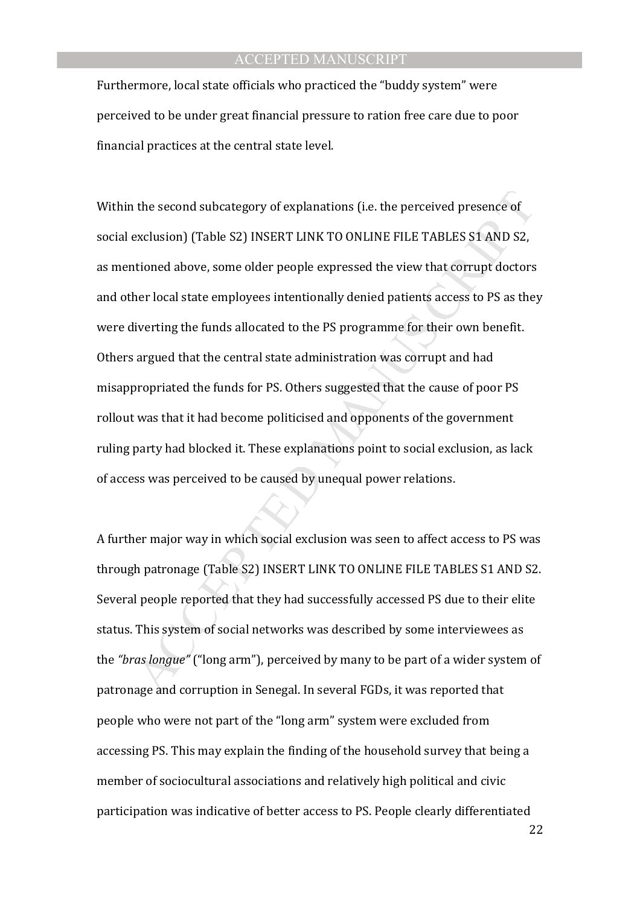Furthermore, local state officials who practiced the "buddy system" were perceived to be under great financial pressure to ration free care due to poor financial practices at the central state level.

the second subcategory of explanations (i.e. the perceived presence of exclusion) (Table S2) INSERT LINK TO ONLINE FILE TABLES S1 AND S2, exclusion) (Table S2) INSERT LINK TO ONLINE FILE TABLES S1 AND S2, titioned above, s Within the second subcategory of explanations (i.e. the perceived presence of social exclusion) (Table S2) INSERT LINK TO ONLINE FILE TABLES S1 AND S2, as mentioned above, some older people expressed the view that corrupt doctors and other local state employees intentionally denied patients access to PS as they were diverting the funds allocated to the PS programme for their own benefit. Others argued that the central state administration was corrupt and had misappropriated the funds for PS. Others suggested that the cause of poor PS rollout was that it had become politicised and opponents of the government ruling party had blocked it. These explanations point to social exclusion, as lack of access was perceived to be caused by unequal power relations.

A further major way in which social exclusion was seen to affect access to PS was through patronage (Table S2) INSERT LINK TO ONLINE FILE TABLES S1 AND S2. Several people reported that they had successfully accessed PS due to their elite status. This system of social networks was described by some interviewees as the *"bras longue"* ("long arm"), perceived by many to be part of a wider system of patronage and corruption in Senegal. In several FGDs, it was reported that people who were not part of the "long arm" system were excluded from accessing PS. This may explain the finding of the household survey that being a member of sociocultural associations and relatively high political and civic participation was indicative of better access to PS. People clearly differentiated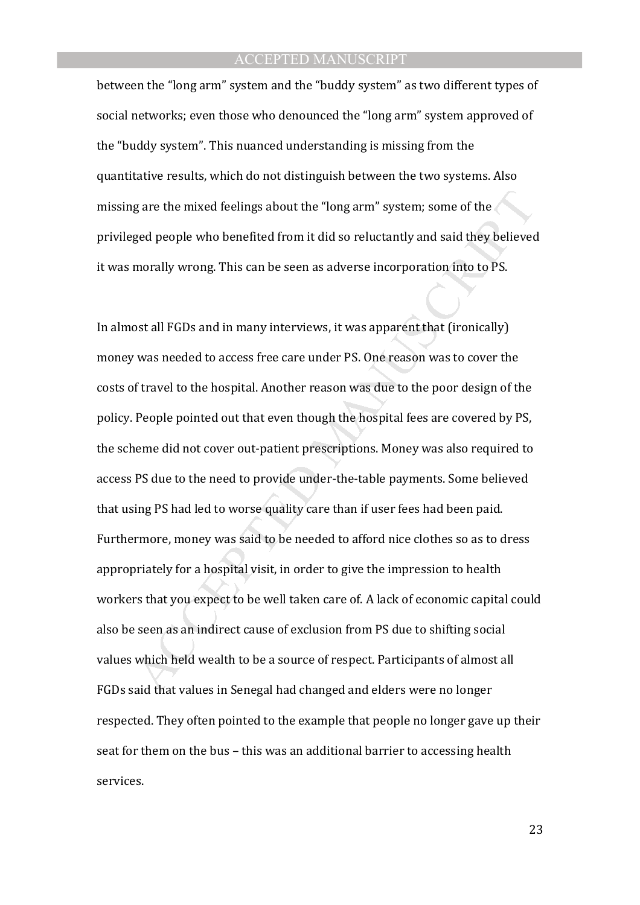between the "long arm" system and the "buddy system" as two different types of social networks; even those who denounced the "long arm" system approved of the "buddy system". This nuanced understanding is missing from the quantitative results, which do not distinguish between the two systems. Also missing are the mixed feelings about the "long arm" system; some of the privileged people who benefited from it did so reluctantly and said they believed it was morally wrong. This can be seen as adverse incorporation into to PS.

g are the mixed feelings about the "long arm" system; some of the<br>ged people who benefited from it did so reluctantly and said they believed<br>morally wrong. This can be seen as adverse incorporation into to PS.<br>ost all FGDs In almost all FGDs and in many interviews, it was apparent that (ironically) money was needed to access free care under PS. One reason was to cover the costs of travel to the hospital. Another reason was due to the poor design of the policy. People pointed out that even though the hospital fees are covered by PS, the scheme did not cover out-patient prescriptions. Money was also required to access PS due to the need to provide under-the-table payments. Some believed that using PS had led to worse quality care than if user fees had been paid. Furthermore, money was said to be needed to afford nice clothes so as to dress appropriately for a hospital visit, in order to give the impression to health workers that you expect to be well taken care of. A lack of economic capital could also be seen as an indirect cause of exclusion from PS due to shifting social values which held wealth to be a source of respect. Participants of almost all FGDs said that values in Senegal had changed and elders were no longer respected. They often pointed to the example that people no longer gave up their seat for them on the bus – this was an additional barrier to accessing health services.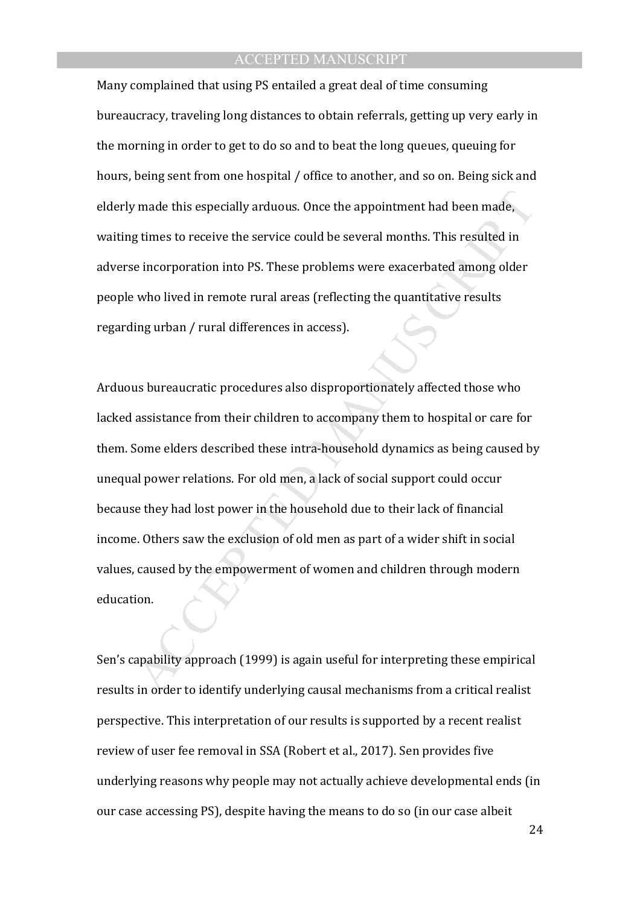Many complained that using PS entailed a great deal of time consuming bureaucracy, traveling long distances to obtain referrals, getting up very early in the morning in order to get to do so and to beat the long queues, queuing for hours, being sent from one hospital / office to another, and so on. Being sick and elderly made this especially arduous. Once the appointment had been made, waiting times to receive the service could be several months. This resulted in adverse incorporation into PS. These problems were exacerbated among older people who lived in remote rural areas (reflecting the quantitative results regarding urban / rural differences in access).

r made this especially arduous. Once the appointment had been made,<br>g times to receive the service could be several months. This resulted in<br>eincorporation into PS. These problems were exacerbated among older<br>who lived in Arduous bureaucratic procedures also disproportionately affected those who lacked assistance from their children to accompany them to hospital or care for them. Some elders described these intra-household dynamics as being caused by unequal power relations. For old men, a lack of social support could occur because they had lost power in the household due to their lack of financial income. Others saw the exclusion of old men as part of a wider shift in social values, caused by the empowerment of women and children through modern education.

Sen's capability approach (1999) is again useful for interpreting these empirical results in order to identify underlying causal mechanisms from a critical realist perspective. This interpretation of our results is supported by a recent realist review of user fee removal in SSA (Robert et al., 2017). Sen provides five underlying reasons why people may not actually achieve developmental ends (in our case accessing PS), despite having the means to do so (in our case albeit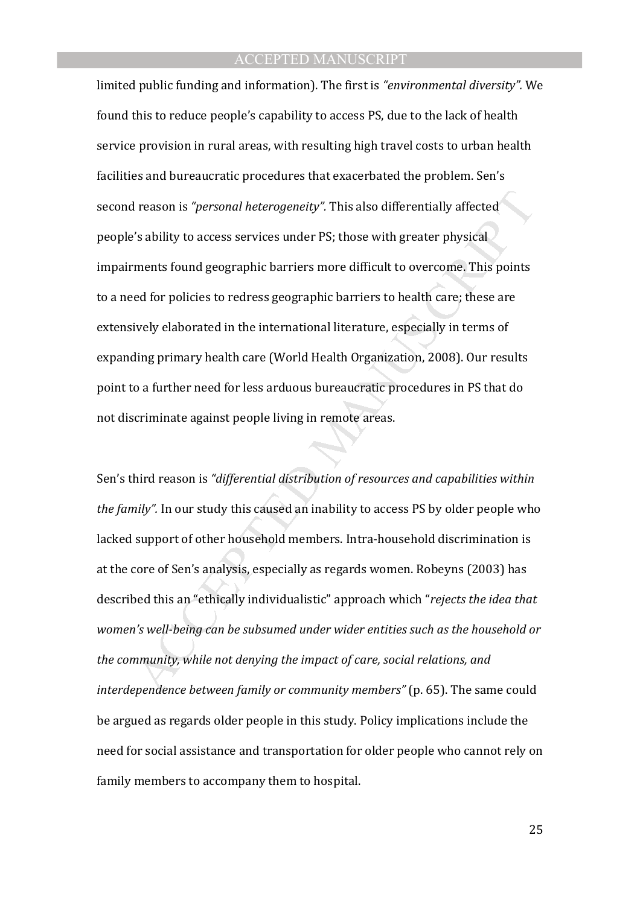I reason is "*personal heterogeneity"*. This also differentially affected<br>
's ability to access services under PS; those with greater physical<br>
"In a signity to access services under PS; those with greater physical<br>
ments limited public funding and information). The first is *"environmental diversity".* We found this to reduce people's capability to access PS, due to the lack of health service provision in rural areas, with resulting high travel costs to urban health facilities and bureaucratic procedures that exacerbated the problem. Sen's second reason is *"personal heterogeneity".* This also differentially affected people's ability to access services under PS; those with greater physical impairments found geographic barriers more difficult to overcome. This points to a need for policies to redress geographic barriers to health care; these are extensively elaborated in the international literature, especially in terms of expanding primary health care (World Health Organization, 2008). Our results point to a further need for less arduous bureaucratic procedures in PS that do not discriminate against people living in remote areas.

Sen's third reason is *"differential distribution of resources and capabilities within the family".* In our study this caused an inability to access PS by older people who lacked support of other household members. Intra-household discrimination is at the core of Sen's analysis, especially as regards women. Robeyns (2003) has described this an "ethically individualistic" approach which "*rejects the idea that women's well-being can be subsumed under wider entities such as the household or the community, while not denying the impact of care, social relations, and interdependence between family or community members"* (p. 65). The same could be argued as regards older people in this study. Policy implications include the need for social assistance and transportation for older people who cannot rely on family members to accompany them to hospital.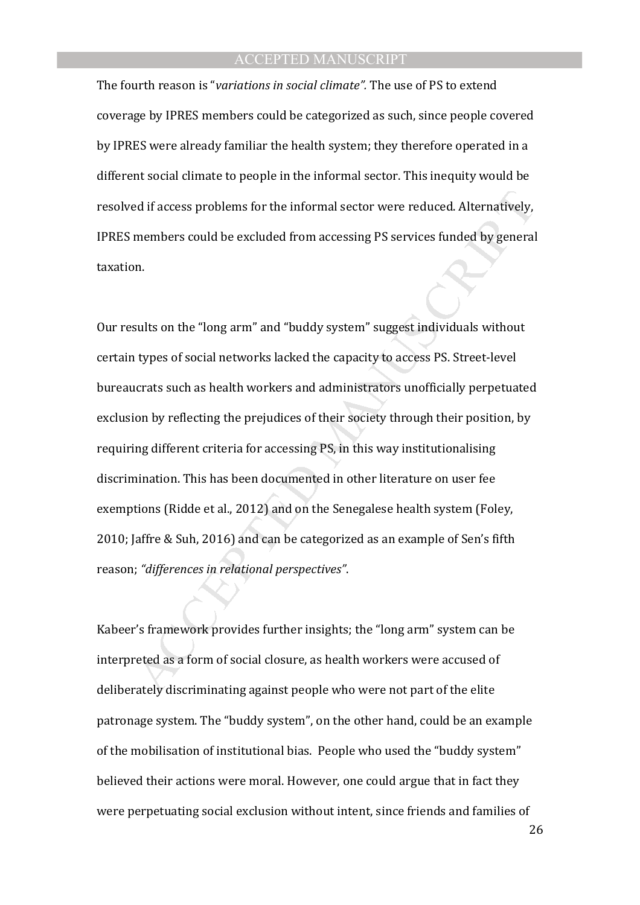The fourth reason is "*variations in social climate".* The use of PS to extend coverage by IPRES members could be categorized as such, since people covered by IPRES were already familiar the health system; they therefore operated in a different social climate to people in the informal sector. This inequity would be resolved if access problems for the informal sector were reduced. Alternatively, IPRES members could be excluded from accessing PS services funded by general taxation.

ed if access problems for the informal sector were reduced. Alternatively,<br>members could be excluded from accessing PS services funded by general<br>n.<br>m.<br>m.<br>m.<br>m.<br>m.<br>m.<br>m.<br>m.<br>m.<br>m.<br>m. and "long arm" and "buddy system" sugges Our results on the "long arm" and "buddy system" suggest individuals without certain types of social networks lacked the capacity to access PS. Street-level bureaucrats such as health workers and administrators unofficially perpetuated exclusion by reflecting the prejudices of their society through their position, by requiring different criteria for accessing PS, in this way institutionalising discrimination. This has been documented in other literature on user fee exemptions (Ridde et al., 2012) and on the Senegalese health system (Foley, 2010; Jaffre & Suh, 2016) and can be categorized as an example of Sen's fifth reason; *"differences in relational perspectives"*.

Kabeer's framework provides further insights; the "long arm" system can be interpreted as a form of social closure, as health workers were accused of deliberately discriminating against people who were not part of the elite patronage system. The "buddy system", on the other hand, could be an example of the mobilisation of institutional bias. People who used the "buddy system" believed their actions were moral. However, one could argue that in fact they were perpetuating social exclusion without intent, since friends and families of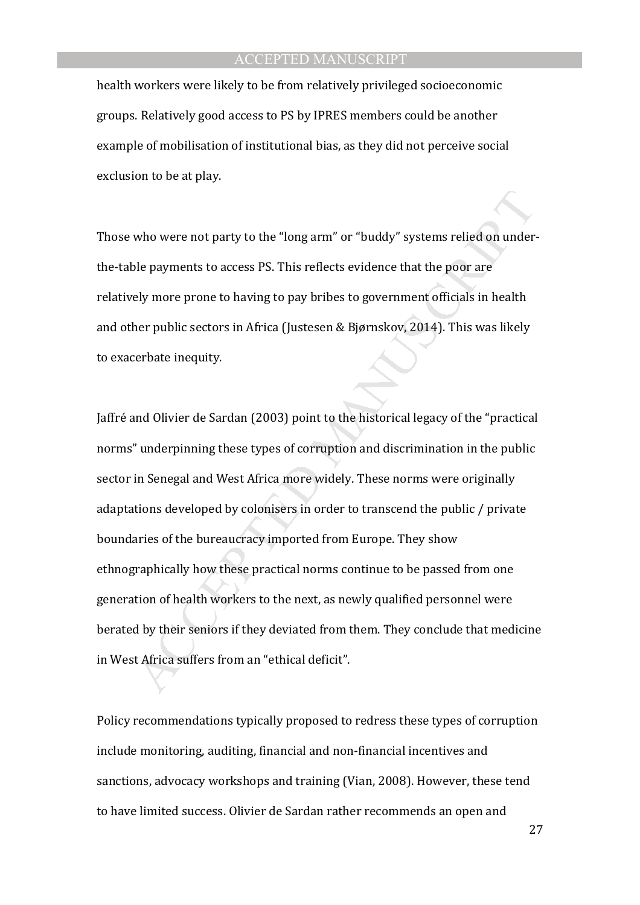health workers were likely to be from relatively privileged socioeconomic groups. Relatively good access to PS by IPRES members could be another example of mobilisation of institutional bias, as they did not perceive social exclusion to be at play.

Those who were not party to the "long arm" or "buddy" systems relied on underthe-table payments to access PS. This reflects evidence that the poor are relatively more prone to having to pay bribes to government officials in health and other public sectors in Africa (Justesen & Bjørnskov, 2014). This was likely to exacerbate inequity.

who were not party to the "long arm" or "buddy" systems relied on under<br>ble payments to access PS. This reflects evidence that the poor are<br>ely more prone to having to pay bribes to government officials in health<br>her publi Jaffré and Olivier de Sardan (2003) point to the historical legacy of the "practical norms" underpinning these types of corruption and discrimination in the public sector in Senegal and West Africa more widely. These norms were originally adaptations developed by colonisers in order to transcend the public / private boundaries of the bureaucracy imported from Europe. They show ethnographically how these practical norms continue to be passed from one generation of health workers to the next, as newly qualified personnel were berated by their seniors if they deviated from them. They conclude that medicine in West Africa suffers from an "ethical deficit".

Policy recommendations typically proposed to redress these types of corruption include monitoring, auditing, financial and non-financial incentives and sanctions, advocacy workshops and training (Vian, 2008). However, these tend to have limited success. Olivier de Sardan rather recommends an open and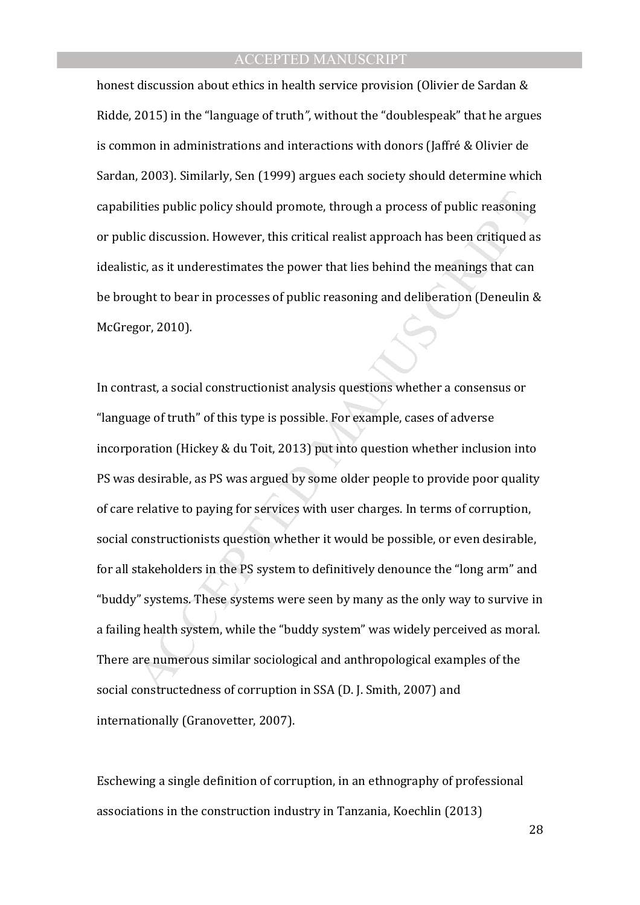honest discussion about ethics in health service provision (Olivier de Sardan & Ridde, 2015) in the "language of truth*"*, without the "doublespeak" that he argues is common in administrations and interactions with donors (Jaffré & Olivier de Sardan, 2003). Similarly, Sen (1999) argues each society should determine which capabilities public policy should promote, through a process of public reasoning or public discussion. However, this critical realist approach has been critiqued as idealistic, as it underestimates the power that lies behind the meanings that can be brought to bear in processes of public reasoning and deliberation (Deneulin & McGregor, 2010)*.* 

lities public policy should promote, through a process of public reasoning<br>lic discussion. However, this critical realist approach has been critiqued a<br>tic, as it underestimates the power that lies behind the meanings that In contrast, a social constructionist analysis questions whether a consensus or "language of truth" of this type is possible. For example, cases of adverse incorporation (Hickey & du Toit, 2013) put into question whether inclusion into PS was desirable, as PS was argued by some older people to provide poor quality of care relative to paying for services with user charges. In terms of corruption, social constructionists question whether it would be possible, or even desirable, for all stakeholders in the PS system to definitively denounce the "long arm" and "buddy" systems. These systems were seen by many as the only way to survive in a failing health system, while the "buddy system" was widely perceived as moral. There are numerous similar sociological and anthropological examples of the social constructedness of corruption in SSA (D. J. Smith, 2007) and internationally (Granovetter, 2007).

Eschewing a single definition of corruption, in an ethnography of professional associations in the construction industry in Tanzania, Koechlin (2013)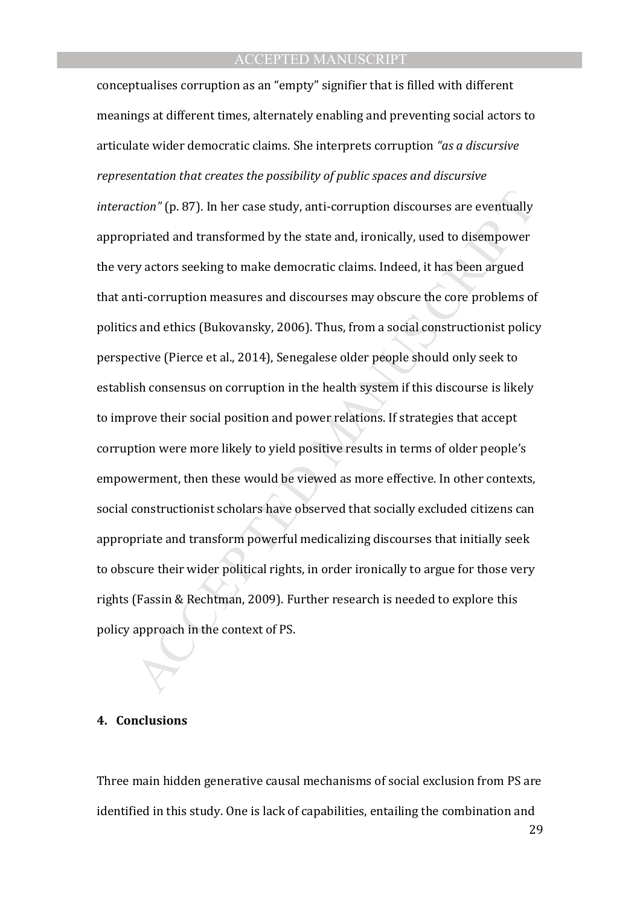tion" (p. 87). In her case study, anti-corruption discourses are eventually priated and transformed by the state and, ironically, used to disempower y actors seeking to make democratic claims. Indeed, it has been argued ti conceptualises corruption as an "empty" signifier that is filled with different meanings at different times, alternately enabling and preventing social actors to articulate wider democratic claims. She interprets corruption *"as a discursive representation that creates the possibility of public spaces and discursive interaction"* (p. 87). In her case study, anti-corruption discourses are eventually appropriated and transformed by the state and, ironically, used to disempower the very actors seeking to make democratic claims. Indeed, it has been argued that anti-corruption measures and discourses may obscure the core problems of politics and ethics (Bukovansky, 2006). Thus, from a social constructionist policy perspective (Pierce et al., 2014), Senegalese older people should only seek to establish consensus on corruption in the health system if this discourse is likely to improve their social position and power relations. If strategies that accept corruption were more likely to yield positive results in terms of older people's empowerment, then these would be viewed as more effective. In other contexts, social constructionist scholars have observed that socially excluded citizens can appropriate and transform powerful medicalizing discourses that initially seek to obscure their wider political rights, in order ironically to argue for those very rights (Fassin & Rechtman, 2009). Further research is needed to explore this policy approach in the context of PS.

#### **4. Conclusions**

Three main hidden generative causal mechanisms of social exclusion from PS are identified in this study. One is lack of capabilities, entailing the combination and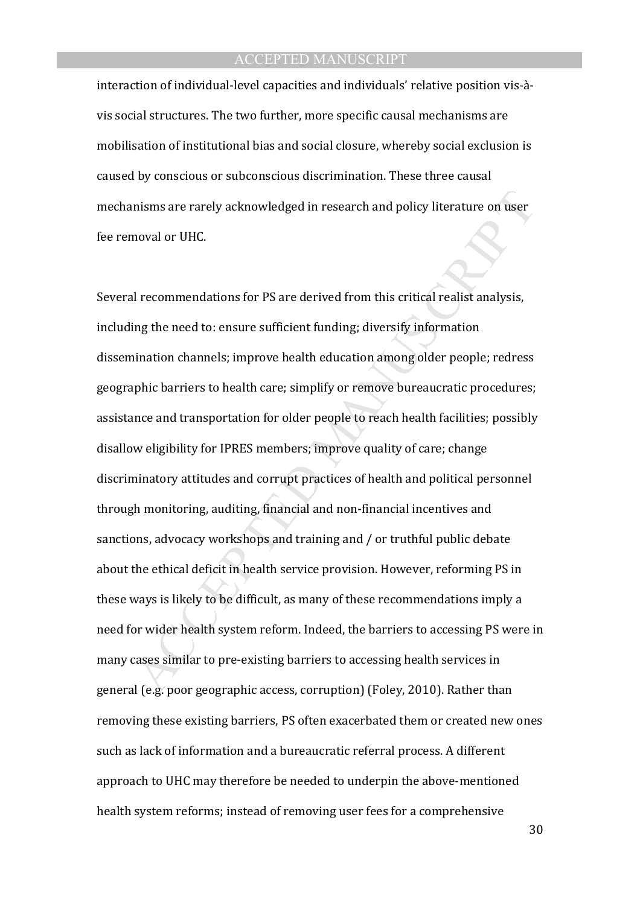interaction of individual-level capacities and individuals' relative position vis-àvis social structures. The two further, more specific causal mechanisms are mobilisation of institutional bias and social closure, whereby social exclusion is caused by conscious or subconscious discrimination. These three causal mechanisms are rarely acknowledged in research and policy literature on user fee removal or UHC.

nisms are rarely acknowledged in research and policy literature on user<br>noval or UHC.<br>I recommendations for PS are derived from this critical realist analysis,<br>ing the need to: ensure sufficient funding; diversify informat Several recommendations for PS are derived from this critical realist analysis, including the need to: ensure sufficient funding; diversify information dissemination channels; improve health education among older people; redress geographic barriers to health care; simplify or remove bureaucratic procedures; assistance and transportation for older people to reach health facilities; possibly disallow eligibility for IPRES members; improve quality of care; change discriminatory attitudes and corrupt practices of health and political personnel through monitoring, auditing, financial and non-financial incentives and sanctions, advocacy workshops and training and / or truthful public debate about the ethical deficit in health service provision. However, reforming PS in these ways is likely to be difficult, as many of these recommendations imply a need for wider health system reform. Indeed, the barriers to accessing PS were in many cases similar to pre-existing barriers to accessing health services in general (e.g. poor geographic access, corruption) (Foley, 2010). Rather than removing these existing barriers, PS often exacerbated them or created new ones such as lack of information and a bureaucratic referral process. A different approach to UHC may therefore be needed to underpin the above-mentioned health system reforms; instead of removing user fees for a comprehensive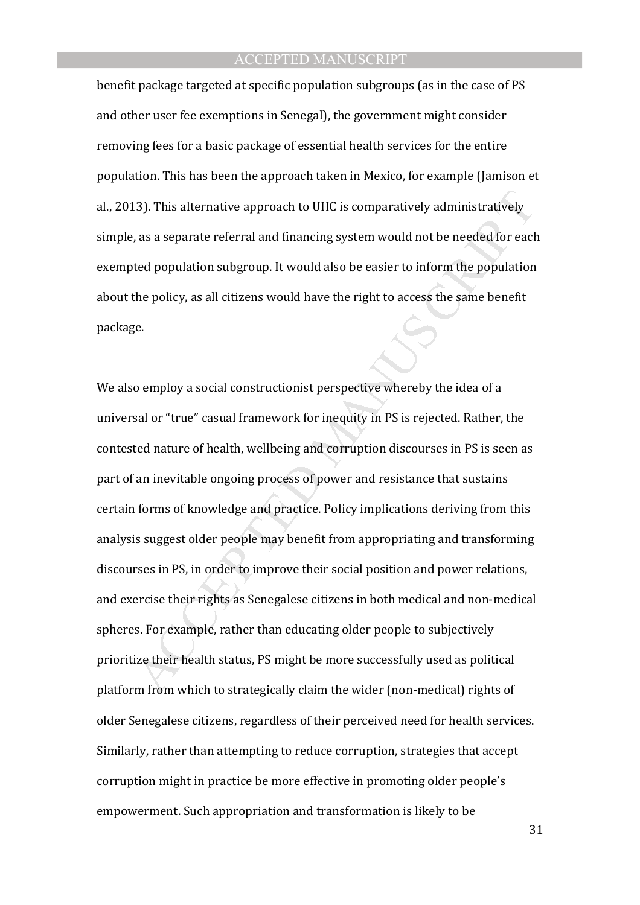benefit package targeted at specific population subgroups (as in the case of PS and other user fee exemptions in Senegal), the government might consider removing fees for a basic package of essential health services for the entire population. This has been the approach taken in Mexico, for example (Jamison et al., 2013). This alternative approach to UHC is comparatively administratively simple, as a separate referral and financing system would not be needed for each exempted population subgroup. It would also be easier to inform the population about the policy, as all citizens would have the right to access the same benefit package.

(3). This alternative approach to UHC is comparatively administratively<br>
2), as a separate referral and financing system would not be needed for each<br>
2) the set of population subgroup. It would also be easier to inform th We also employ a social constructionist perspective whereby the idea of a universal or "true" casual framework for inequity in PS is rejected. Rather, the contested nature of health, wellbeing and corruption discourses in PS is seen as part of an inevitable ongoing process of power and resistance that sustains certain forms of knowledge and practice. Policy implications deriving from this analysis suggest older people may benefit from appropriating and transforming discourses in PS, in order to improve their social position and power relations, and exercise their rights as Senegalese citizens in both medical and non-medical spheres. For example, rather than educating older people to subjectively prioritize their health status, PS might be more successfully used as political platform from which to strategically claim the wider (non-medical) rights of older Senegalese citizens, regardless of their perceived need for health services. Similarly, rather than attempting to reduce corruption, strategies that accept corruption might in practice be more effective in promoting older people's empowerment. Such appropriation and transformation is likely to be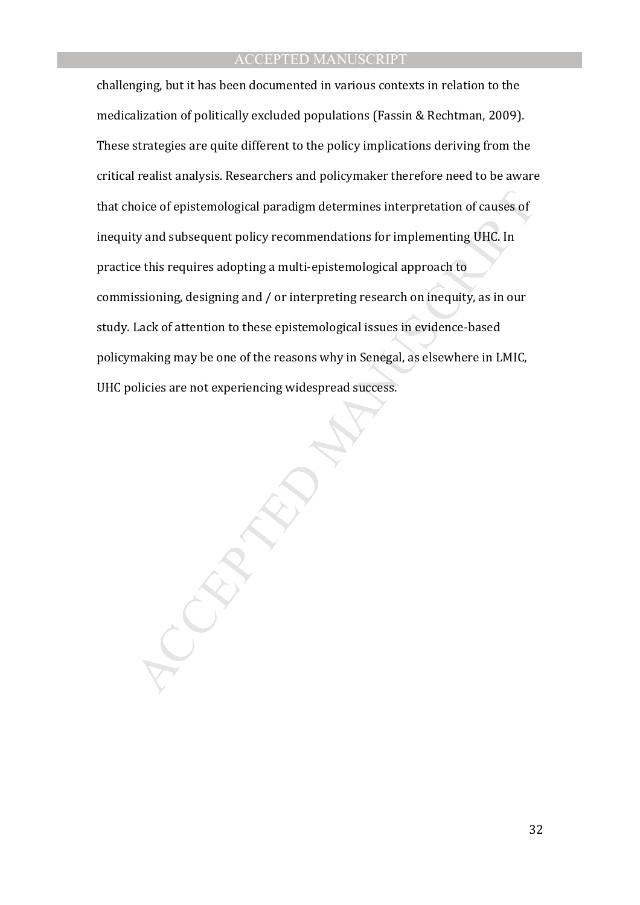oice of epistemological paradigm determines interpretation of causes of<br>ty and subsequent policy recommendations for implementing UHC. In<br>ce this requires adopting a multi-epistemological approach to<br>issioning, designing a challenging, but it has been documented in various contexts in relation to the medicalization of politically excluded populations (Fassin & Rechtman, 2009). These strategies are quite different to the policy implications deriving from the critical realist analysis. Researchers and policymaker therefore need to be aware that choice of epistemological paradigm determines interpretation of causes of inequity and subsequent policy recommendations for implementing UHC. In practice this requires adopting a multi-epistemological approach to commissioning, designing and / or interpreting research on inequity, as in our study. Lack of attention to these epistemological issues in evidence-based policymaking may be one of the reasons why in Senegal, as elsewhere in LMIC, UHC policies are not experiencing widespread success.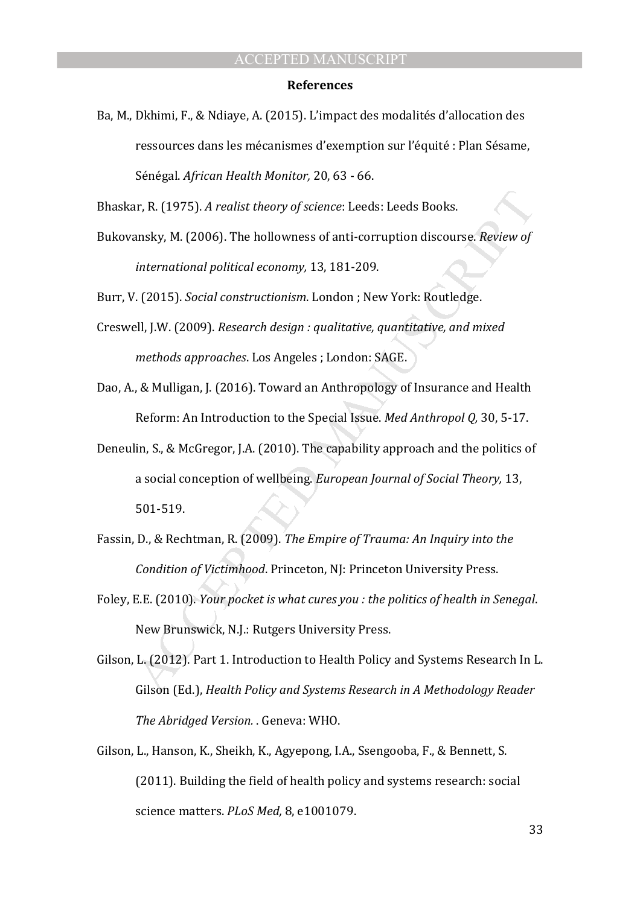#### **References**

Ba, M., Dkhimi, F., & Ndiaye, A. (2015). L'impact des modalités d'allocation des ressources dans les mécanismes d'exemption sur l'équité : Plan Sésame, Sénégal. *African Health Monitor,* 20, 63 - 66.

Bhaskar, R. (1975). *A realist theory of science*: Leeds: Leeds Books.

Bukovansky, M. (2006). The hollowness of anti-corruption discourse. *Review of international political economy,* 13, 181-209.

Burr, V. (2015). *Social constructionism*. London ; New York: Routledge.

- Creswell, J.W. (2009). *Research design : qualitative, quantitative, and mixed methods approaches*. Los Angeles ; London: SAGE.
- Dao, A., & Mulligan, J. (2016). Toward an Anthropology of Insurance and Health Reform: An Introduction to the Special Issue. *Med Anthropol Q,* 30, 5-17.
- ar, R. (1975). A realist theory of science: Leeds: Leeds Books.<br>
ansky, M. (2006). The hollowness of anti-corruption discourse. Review of<br>
international political economy, 13, 181-209.<br>
V. (2015). Social constructionism. L Deneulin, S., & McGregor, J.A. (2010). The capability approach and the politics of a social conception of wellbeing. *European Journal of Social Theory,* 13, 501-519.
- Fassin, D., & Rechtman, R. (2009). *The Empire of Trauma: An Inquiry into the Condition of Victimhood*. Princeton, NJ: Princeton University Press.
- Foley, E.E. (2010). *Your pocket is what cures you : the politics of health in Senegal*. New Brunswick, N.J.: Rutgers University Press.
- Gilson, L. (2012). Part 1. Introduction to Health Policy and Systems Research In L. Gilson (Ed.), *Health Policy and Systems Research in A Methodology Reader The Abridged Version.* . Geneva: WHO.
- Gilson, L., Hanson, K., Sheikh, K., Agyepong, I.A., Ssengooba, F., & Bennett, S. (2011). Building the field of health policy and systems research: social science matters. *PLoS Med,* 8, e1001079.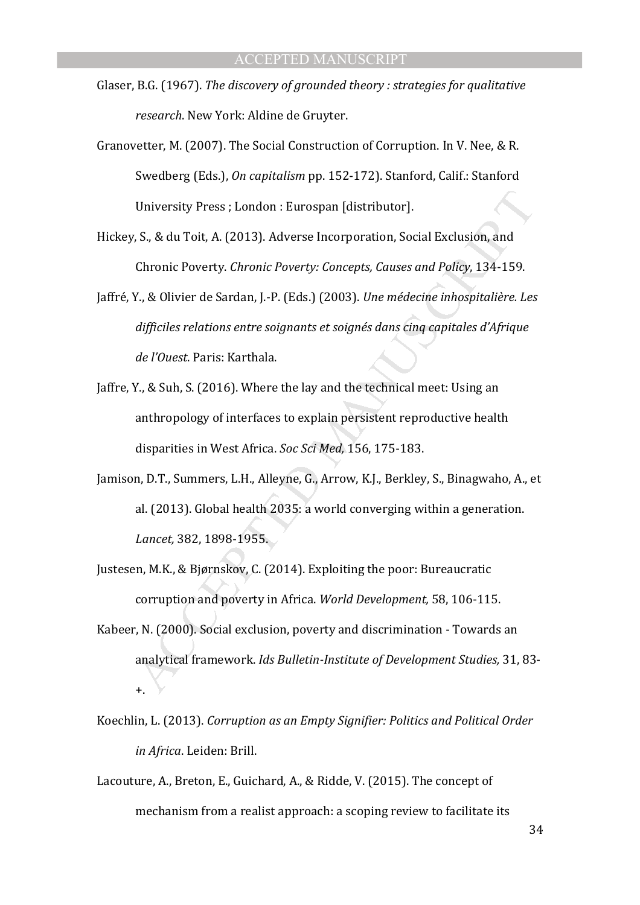- Glaser, B.G. (1967). *The discovery of grounded theory : strategies for qualitative research*. New York: Aldine de Gruyter.
- Granovetter, M. (2007). The Social Construction of Corruption. In V. Nee, & R. Swedberg (Eds.), *On capitalism* pp. 152-172). Stanford, Calif.: Stanford University Press ; London : Eurospan [distributor].
- Hickey, S., & du Toit, A. (2013). Adverse Incorporation, Social Exclusion, and Chronic Poverty. *Chronic Poverty: Concepts, Causes and Policy*, 134-159.
- University Press ; London : Eurospan [distributor].<br>
, S., & du Toit, A. (2013). Adverse Incorporation, Social Exclusion, and<br>
Chronic Poverty. Chronic Poverty: Concepts, Causes and Policy, 134-159.<br>
Y., & Olivier de Sarda Jaffré, Y., & Olivier de Sardan, J.-P. (Eds.) (2003). *Une médecine inhospitalière. Les difficiles relations entre soignants et soignés dans cinq capitales d'Afrique de l'Ouest*. Paris: Karthala.
- Jaffre, Y., & Suh, S. (2016). Where the lay and the technical meet: Using an anthropology of interfaces to explain persistent reproductive health disparities in West Africa. *Soc Sci Med,* 156, 175-183.
- Jamison, D.T., Summers, L.H., Alleyne, G., Arrow, K.J., Berkley, S., Binagwaho, A., et al. (2013). Global health 2035: a world converging within a generation. *Lancet,* 382, 1898-1955.
- Justesen, M.K., & Bjørnskov, C. (2014). Exploiting the poor: Bureaucratic corruption and poverty in Africa. *World Development,* 58, 106-115.
- Kabeer, N. (2000). Social exclusion, poverty and discrimination Towards an analytical framework. *Ids Bulletin-Institute of Development Studies,* 31, 83- +.
- Koechlin, L. (2013). *Corruption as an Empty Signifier: Politics and Political Order in Africa*. Leiden: Brill.
- Lacouture, A., Breton, E., Guichard, A., & Ridde, V. (2015). The concept of mechanism from a realist approach: a scoping review to facilitate its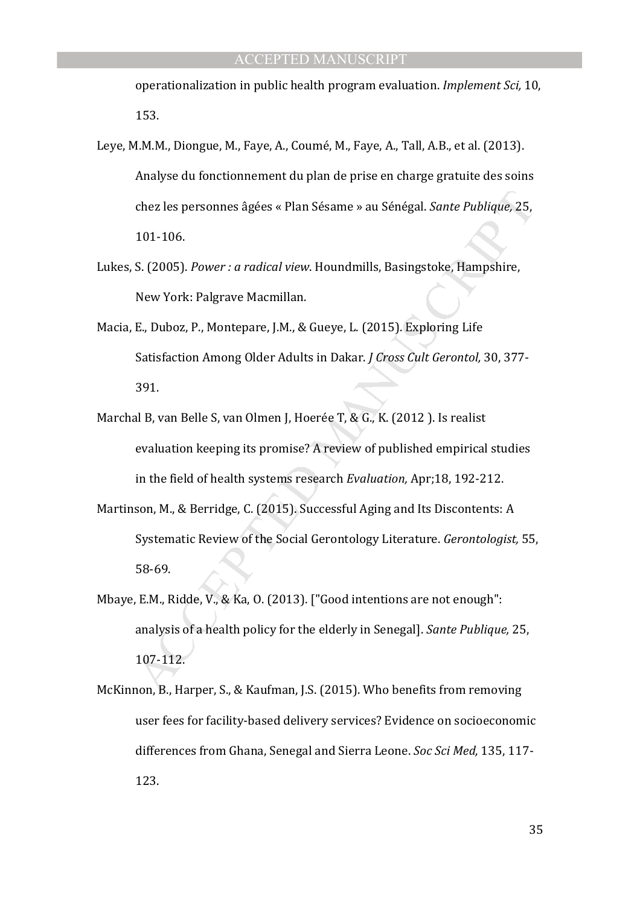operationalization in public health program evaluation. *Implement Sci,* 10, 153.

- Leye, M.M.M., Diongue, M., Faye, A., Coumé, M., Faye, A., Tall, A.B., et al. (2013). Analyse du fonctionnement du plan de prise en charge gratuite des soins chez les personnes âgées « Plan Sésame » au Sénégal. *Sante Publique,* 25, 101-106.
- Lukes, S. (2005). *Power : a radical view*. Houndmills, Basingstoke, Hampshire, New York: Palgrave Macmillan.
- Macia, E., Duboz, P., Montepare, J.M., & Gueye, L. (2015). Exploring Life Satisfaction Among Older Adults in Dakar. *J Cross Cult Gerontol,* 30, 377- 391.
- chez les personnes âgées « Plan Sésame » au Sénégal. *Sante Publique,* 25,<br>101-106.<br>
S. (2005). *Power : a radical view.* Houndmills, Basingstoke, Hampshire,<br>
New York: Palgrave Macmillan.<br>
E., Duboz, P., Montepare, J.M., Marchal B, van Belle S, van Olmen J, Hoerée T, & G., K. (2012 ). Is realist evaluation keeping its promise? A review of published empirical studies in the field of health systems research *Evaluation,* Apr;18, 192-212.
- Martinson, M., & Berridge, C. (2015). Successful Aging and Its Discontents: A Systematic Review of the Social Gerontology Literature. *Gerontologist,* 55, 58-69.
- Mbaye, E.M., Ridde, V., & Ka, O. (2013). ["Good intentions are not enough": analysis of a health policy for the elderly in Senegal]. *Sante Publique,* 25, 107-112.
- McKinnon, B., Harper, S., & Kaufman, J.S. (2015). Who benefits from removing user fees for facility-based delivery services? Evidence on socioeconomic differences from Ghana, Senegal and Sierra Leone. *Soc Sci Med,* 135, 117- 123.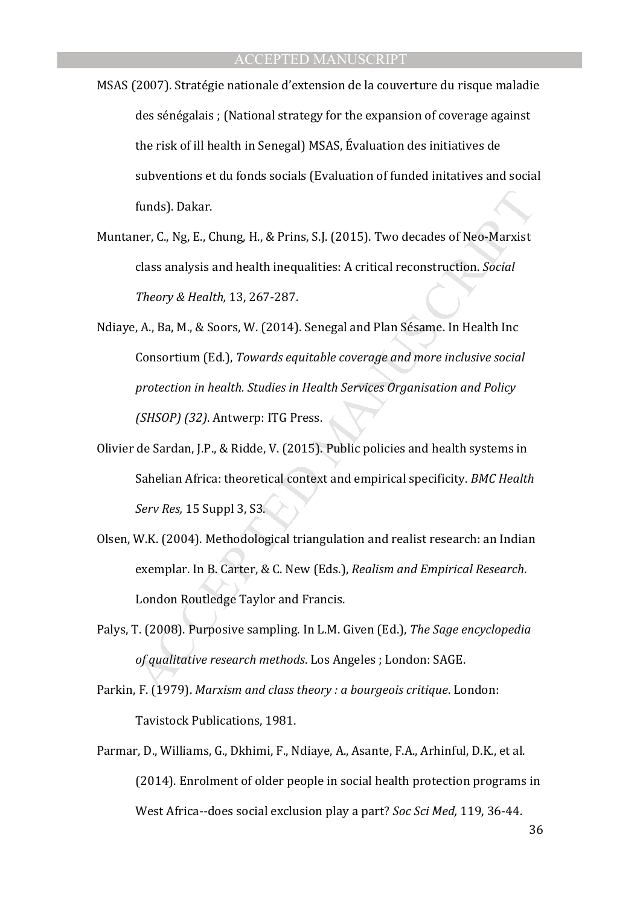- MSAS (2007). Stratégie nationale d'extension de la couverture du risque maladie des sénégalais ; (National strategy for the expansion of coverage against the risk of ill health in Senegal) MSAS, Évaluation des initiatives de subventions et du fonds socials (Evaluation of funded initatives and social funds). Dakar.
- Muntaner, C., Ng, E., Chung, H., & Prins, S.J. (2015). Two decades of Neo-Marxist class analysis and health inequalities: A critical reconstruction. *Social Theory & Health,* 13, 267-287.
- funds). Dakar.<br>
ner, C., Ng, E., Chung, H., & Prins, S.J. (2015). Two decades of Neo-Marxist<br>
class analysis and health inequalities: A critical reconstruction. *Social*<br>
Theory & Health, 13, 267-287.<br>
e, A., Ba, M., & Soo Ndiaye, A., Ba, M., & Soors, W. (2014). Senegal and Plan Sésame. In Health Inc Consortium (Ed.), *Towards equitable coverage and more inclusive social protection in health. Studies in Health Services Organisation and Policy (SHSOP) (32)*. Antwerp: ITG Press.
- Olivier de Sardan, J.P., & Ridde, V. (2015). Public policies and health systems in Sahelian Africa: theoretical context and empirical specificity. *BMC Health Serv Res,* 15 Suppl 3, S3.
- Olsen, W.K. (2004). Methodological triangulation and realist research: an Indian exemplar. In B. Carter, & C. New (Eds.), *Realism and Empirical Research*. London Routledge Taylor and Francis.
- Palys, T. (2008). Purposive sampling. In L.M. Given (Ed.), *The Sage encyclopedia of qualitative research methods*. Los Angeles ; London: SAGE.
- Parkin, F. (1979). *Marxism and class theory : a bourgeois critique*. London: Tavistock Publications, 1981.
- Parmar, D., Williams, G., Dkhimi, F., Ndiaye, A., Asante, F.A., Arhinful, D.K., et al. (2014). Enrolment of older people in social health protection programs in West Africa--does social exclusion play a part? *Soc Sci Med,* 119, 36-44.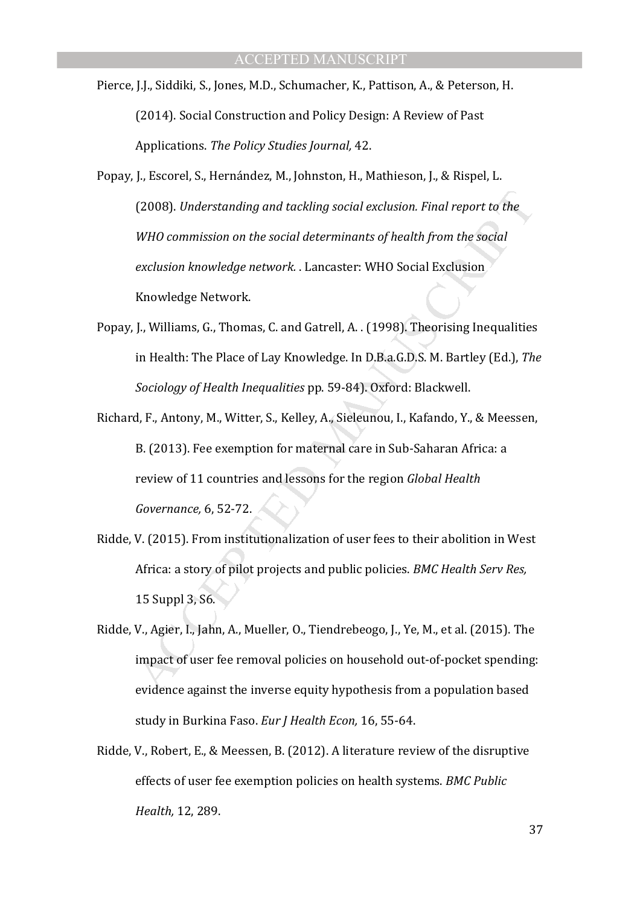Pierce, J.J., Siddiki, S., Jones, M.D., Schumacher, K., Pattison, A., & Peterson, H. (2014). Social Construction and Policy Design: A Review of Past Applications. *The Policy Studies Journal,* 42.

(2008). Understanding and tackling social exclusion. Final report to the<br>WHO commission on the social determinants of health from the social<br>exclusion knowledge network. Lancaster: WHO Social Exclusion<br>Knowledge Network.<br>J Popay, J., Escorel, S., Hernández, M., Johnston, H., Mathieson, J., & Rispel, L. (2008). *Understanding and tackling social exclusion. Final report to the WHO commission on the social determinants of health from the social exclusion knowledge network.* . Lancaster: WHO Social Exclusion Knowledge Network.

- Popay, J., Williams, G., Thomas, C. and Gatrell, A. . (1998). Theorising Inequalities in Health: The Place of Lay Knowledge. In D.B.a.G.D.S. M. Bartley (Ed.), *The Sociology of Health Inequalities* pp. 59-84). Oxford: Blackwell.
- Richard, F., Antony, M., Witter, S., Kelley, A., Sieleunou, I., Kafando, Y., & Meessen, B. (2013). Fee exemption for maternal care in Sub-Saharan Africa: a review of 11 countries and lessons for the region *Global Health Governance,* 6, 52-72.
- Ridde, V. (2015). From institutionalization of user fees to their abolition in West Africa: a story of pilot projects and public policies. *BMC Health Serv Res,*  15 Suppl 3, S6.
- Ridde, V., Agier, I., Jahn, A., Mueller, O., Tiendrebeogo, J., Ye, M., et al. (2015). The impact of user fee removal policies on household out-of-pocket spending: evidence against the inverse equity hypothesis from a population based study in Burkina Faso. *Eur J Health Econ,* 16, 55-64.
- Ridde, V., Robert, E., & Meessen, B. (2012). A literature review of the disruptive effects of user fee exemption policies on health systems. *BMC Public Health,* 12, 289.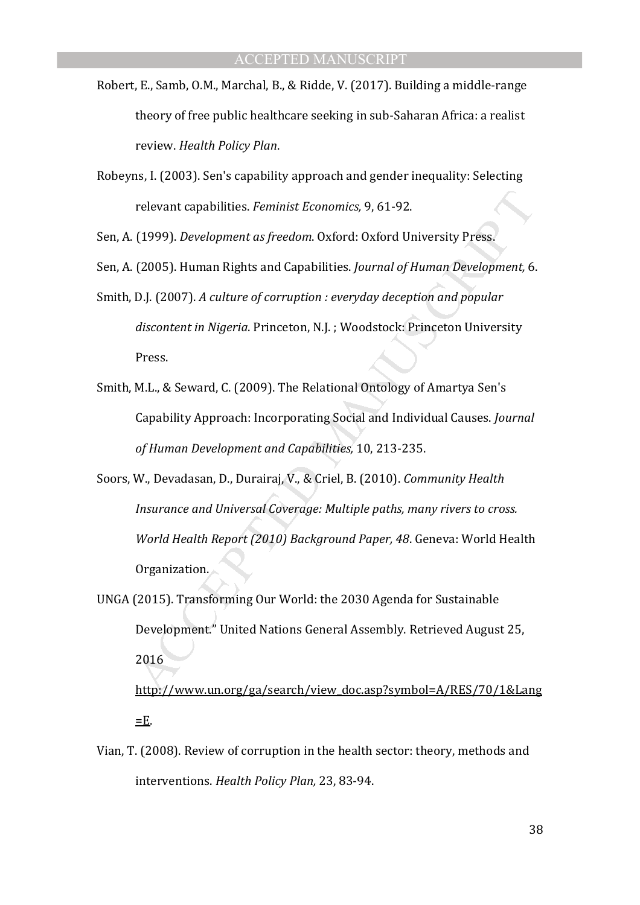- Robert, E., Samb, O.M., Marchal, B., & Ridde, V. (2017). Building a middle-range theory of free public healthcare seeking in sub-Saharan Africa: a realist review. *Health Policy Plan*.
- Robeyns, I. (2003). Sen's capability approach and gender inequality: Selecting relevant capabilities. *Feminist Economics,* 9, 61-92.

Sen, A. (1999). *Development as freedom*. Oxford: Oxford University Press.

- Sen, A. (2005). Human Rights and Capabilities. *Journal of Human Development,* 6.
- Smith, D.J. (2007). *A culture of corruption : everyday deception and popular discontent in Nigeria*. Princeton, N.J. ; Woodstock: Princeton University Press.
- Smith, M.L., & Seward, C. (2009). The Relational Ontology of Amartya Sen's Capability Approach: Incorporating Social and Individual Causes. *Journal of Human Development and Capabilities,* 10, 213-235.
- relevant capabilities. *Feminist Economics*, 9, 61-92.<br>
(1999). *Development as freedom*. Oxford: Oxford University Press.<br>
(2005). Human Rights and Capabilities. *Journal of Human Development*, 6.<br>
D.J. (2007). *A culture* Soors, W., Devadasan, D., Durairaj, V., & Criel, B. (2010). *Community Health Insurance and Universal Coverage: Multiple paths, many rivers to cross. World Health Report (2010) Background Paper, 48*. Geneva: World Health Organization.
- UNGA (2015). Transforming Our World: the 2030 Agenda for Sustainable Development." United Nations General Assembly. Retrieved August 25, 2016

http://www.un.org/ga/search/view\_doc.asp?symbol=A/RES/70/1&Lang  $E$ .

Vian, T. (2008). Review of corruption in the health sector: theory, methods and interventions. *Health Policy Plan,* 23, 83-94.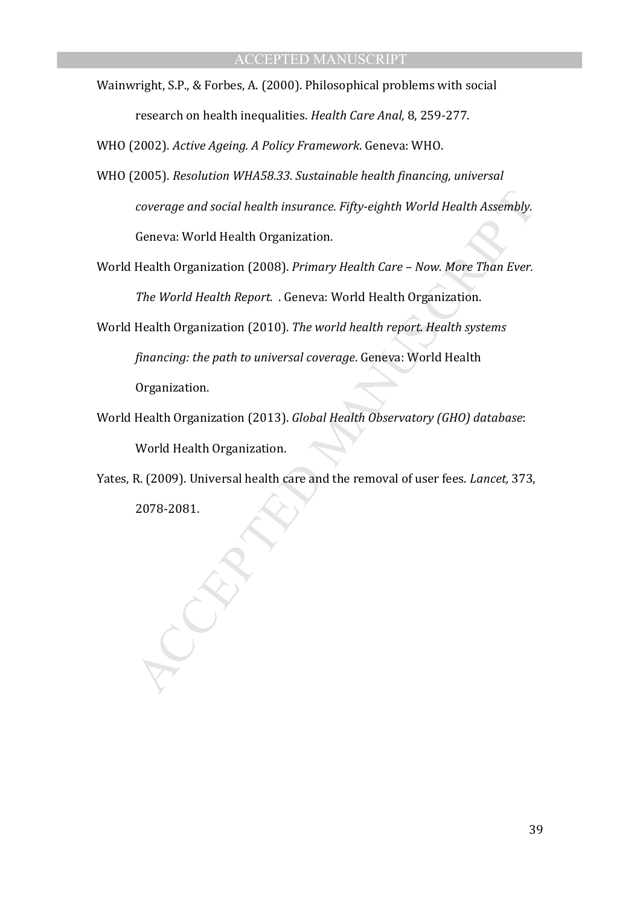Wainwright, S.P., & Forbes, A. (2000). Philosophical problems with social research on health inequalities. *Health Care Anal,* 8, 259-277.

WHO (2002). *Active Ageing. A Policy Framework*. Geneva: WHO.

- WHO (2005). *Resolution WHA58.33. Sustainable health financing, universal coverage and social health insurance. Fifty-eighth World Health Assembly.* Geneva: World Health Organization.
- World Health Organization (2008). *Primary Health Care Now. More Than Ever. The World Health Report.* . Geneva: World Health Organization.
- coverage and social health insurance. Fifty-eighth World Health Assembly.<br>Ceneva: World Health Organization.<br>Health Organization (2008). *Primary Health Care Now. More Than Ever.*<br>The World Health Report. . Geneva: World World Health Organization (2010). *The world health report. Health systems financing: the path to universal coverage*. Geneva: World Health Organization.
- World Health Organization (2013). *Global Health Observatory (GHO) database*: World Health Organization.
- Yates, R. (2009). Universal health care and the removal of user fees. *Lancet,* 373, 2078-2081.